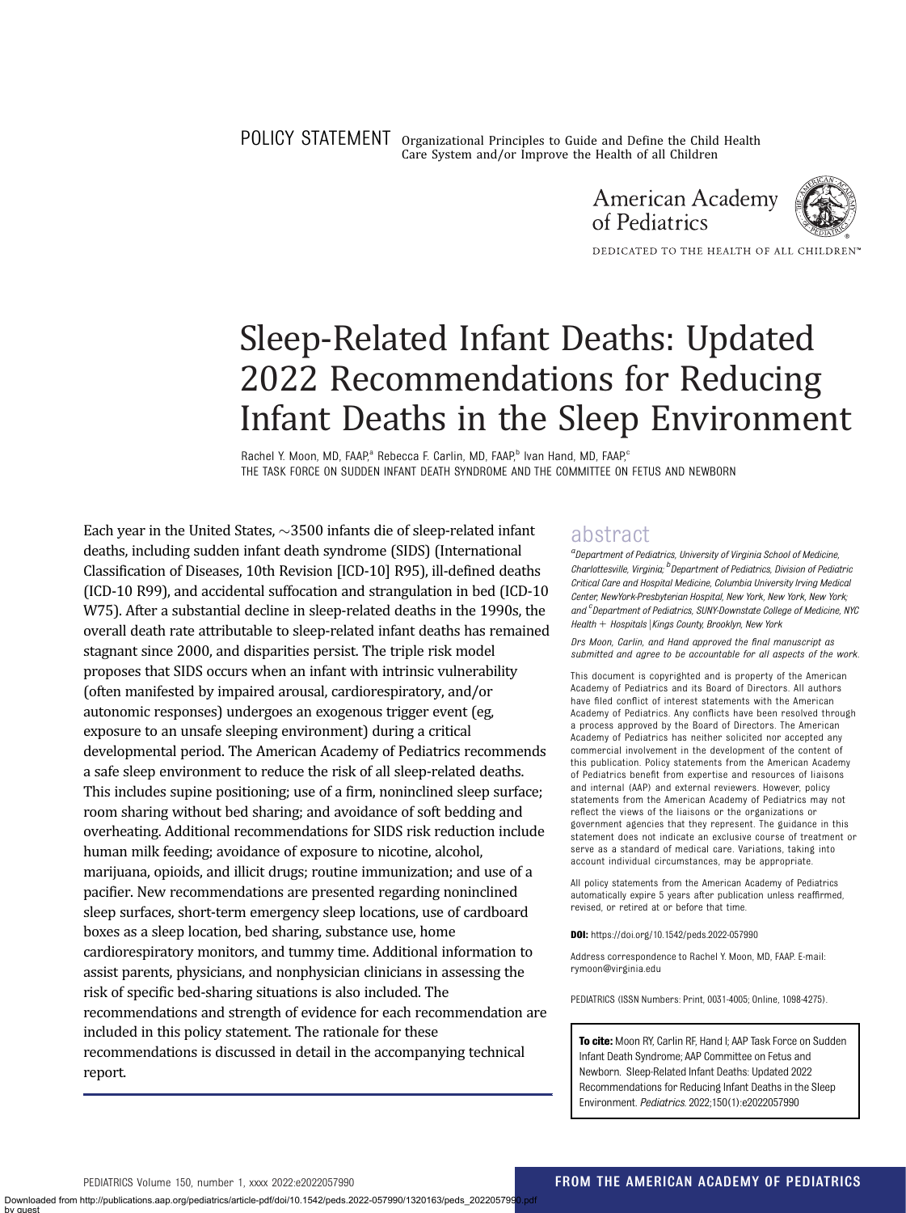POLICY STATEMENT Organizational Principles to Guide and Define the Child Health Care System and/or Improve the Health of all Children





DEDICATED TO THE HEALTH OF ALL CHILDREN™

# Sleep-Related Infant Deaths: Updated 2022 Recommendations for Reducing Infant Deaths in the Sleep Environment

Rachel Y. Moon, MD, FAAP,<sup>a</sup> Rebecca F. Carlin, MD, FAAP,<sup>b</sup> Ivan Hand, MD, FAAP,<sup>c</sup> THE TASK FORCE ON SUDDEN INFANT DEATH SYNDROME AND THE COMMITTEE ON FETUS AND NEWBORN

Each year in the United States,  $\sim$ 3500 infants die of sleep-related infant deaths, including sudden infant death syndrome (SIDS) (International Classification of Diseases, 10th Revision [ICD-10] R95), ill-defined deaths (ICD-10 R99), and accidental suffocation and strangulation in bed (ICD-10 W75). After a substantial decline in sleep-related deaths in the 1990s, the overall death rate attributable to sleep-related infant deaths has remained stagnant since 2000, and disparities persist. The triple risk model proposes that SIDS occurs when an infant with intrinsic vulnerability (often manifested by impaired arousal, cardiorespiratory, and/or autonomic responses) undergoes an exogenous trigger event (eg, exposure to an unsafe sleeping environment) during a critical developmental period. The American Academy of Pediatrics recommends a safe sleep environment to reduce the risk of all sleep-related deaths. This includes supine positioning; use of a firm, noninclined sleep surface; room sharing without bed sharing; and avoidance of soft bedding and overheating. Additional recommendations for SIDS risk reduction include human milk feeding; avoidance of exposure to nicotine, alcohol, marijuana, opioids, and illicit drugs; routine immunization; and use of a pacifier. New recommendations are presented regarding noninclined sleep surfaces, short-term emergency sleep locations, use of cardboard boxes as a sleep location, bed sharing, substance use, home cardiorespiratory monitors, and tummy time. Additional information to assist parents, physicians, and nonphysician clinicians in assessing the risk of specific bed-sharing situations is also included. The recommendations and strength of evidence for each recommendation are included in this policy statement. The rationale for these recommendations is discussed in detail in the accompanying [technical](https://doi.org/10.1542/peds.2022-057991) [report.](https://doi.org/10.1542/peds.2022-057991)

# abstract

<sup>a</sup> Department of Pediatrics, University of Virginia School of Medicine Charlottesville, Virginia; <sup>b</sup>Department of Pediatrics, Division of Pediatric Critical Care and Hospital Medicine, Columbia University Irving Medical Center, NewYork-Presbyterian Hospital, New York, New York, New York; and <sup>c</sup> Department of Pediatrics, SUNY-Downstate College of Medicine, NYC Health + Hospitals | Kings County, Brooklyn, New York

Drs Moon, Carlin, and Hand approved the final manuscript as submitted and agree to be accountable for all aspects of the work.

This document is copyrighted and is property of the American Academy of Pediatrics and its Board of Directors. All authors have filed conflict of interest statements with the American Academy of Pediatrics. Any conflicts have been resolved through a process approved by the Board of Directors. The American Academy of Pediatrics has neither solicited nor accepted any commercial involvement in the development of the content of this publication. Policy statements from the American Academy of Pediatrics benefit from expertise and resources of liaisons and internal (AAP) and external reviewers. However, policy statements from the American Academy of Pediatrics may not reflect the views of the liaisons or the organizations or government agencies that they represent. The guidance in this statement does not indicate an exclusive course of treatment or serve as a standard of medical care. Variations, taking into account individual circumstances, may be appropriate.

All policy statements from the American Academy of Pediatrics automatically expire 5 years after publication unless reaffirmed, revised, or retired at or before that time.

DOI: <https://doi.org/10.1542/peds.2022-057990>

Address correspondence to Rachel Y. Moon, MD, FAAP. E-mail: [rymoon@virginia.edu](mailto:rymoon@virginia.edu)

PEDIATRICS (ISSN Numbers: Print, 0031-4005; Online, 1098-4275).

To cite: Moon RY, Carlin RF, Hand I: AAP Task Force on Sudden Infant Death Syndrome; AAP Committee on Fetus and Newborn. Sleep-Related Infant Deaths: Updated 2022 Recommendations for Reducing Infant Deaths in the Sleep Environment. Pediatrics. 2022;150(1):e2022057990

by guest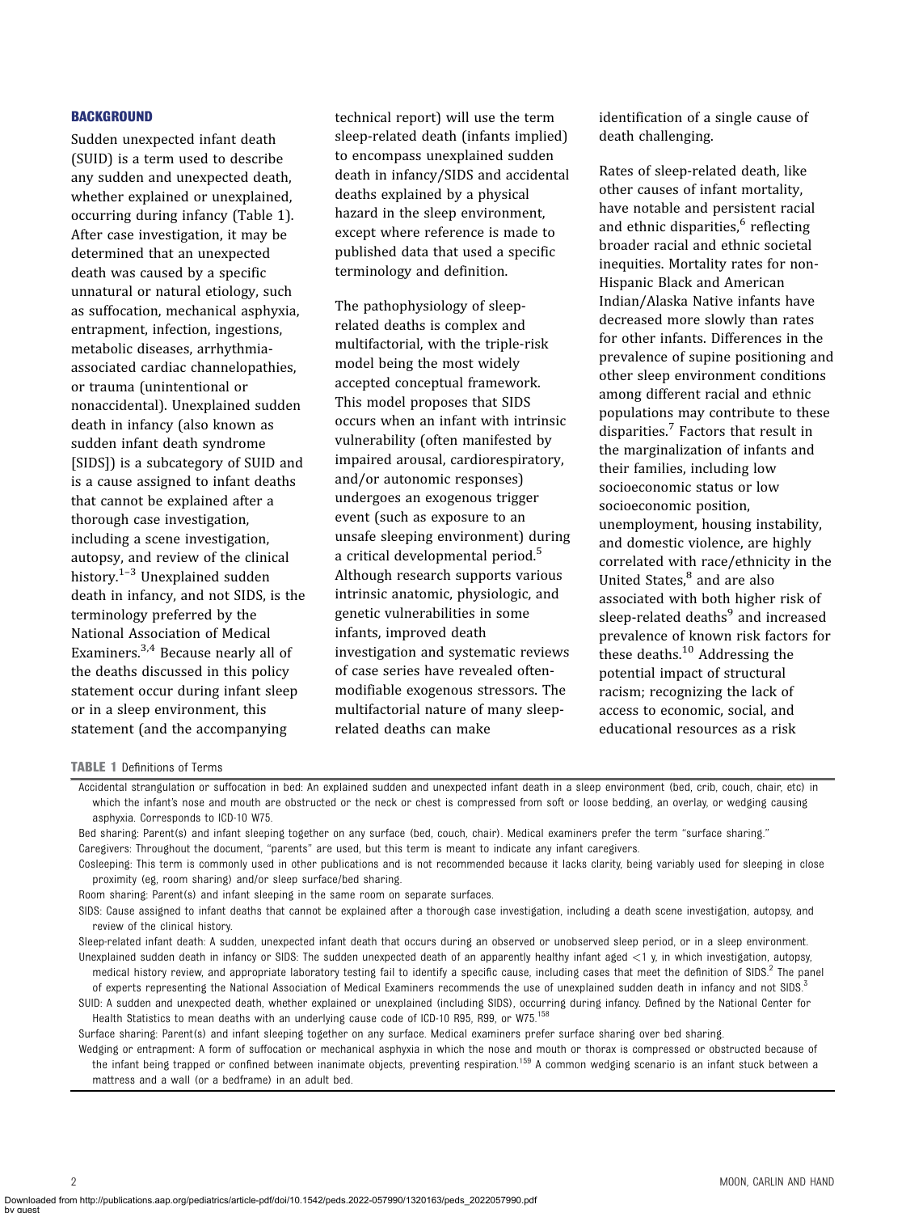#### **BACKGROUND**

Sudden unexpected infant death (SUID) is a term used to describe any sudden and unexpected death, whether explained or unexplained, occurring during infancy (Table 1). After case investigation, it may be determined that an unexpected death was caused by a specific unnatural or natural etiology, such as suffocation, mechanical asphyxia, entrapment, infection, ingestions, metabolic diseases, arrhythmiaassociated cardiac channelopathies, or trauma (unintentional or nonaccidental). Unexplained sudden death in infancy (also known as sudden infant death syndrome [SIDS]) is a subcategory of SUID and is a cause assigned to infant deaths that cannot be explained after a thorough case investigation, including a scene investigation, autopsy, and review of the clinical history. $1-3$  $1-3$  $1-3$  Unexplained sudden death in infancy, and not SIDS, is the terminology preferred by the National Association of Medical Examiners.[3,4](#page-16-0) Because nearly all of the deaths discussed in this policy statement occur during infant sleep or in a sleep environment, this statement (and the accompanying

technical report) will use the term sleep-related death (infants implied) to encompass unexplained sudden death in infancy/SIDS and accidental deaths explained by a physical hazard in the sleep environment, except where reference is made to published data that used a specific terminology and definition.

The pathophysiology of sleeprelated deaths is complex and multifactorial, with the triple-risk model being the most widely accepted conceptual framework. This model proposes that SIDS occurs when an infant with intrinsic vulnerability (often manifested by impaired arousal, cardiorespiratory, and/or autonomic responses) undergoes an exogenous trigger event (such as exposure to an unsafe sleeping environment) during a critical developmental period.[5](#page-16-0) Although research supports various intrinsic anatomic, physiologic, and genetic vulnerabilities in some infants, improved death investigation and systematic reviews of case series have revealed oftenmodifiable exogenous stressors. The multifactorial nature of many sleeprelated deaths can make

identification of a single cause of death challenging.

Rates of sleep-related death, like other causes of infant mortality, have notable and persistent racial and ethnic disparities,<sup>[6](#page-16-0)</sup> reflecting broader racial and ethnic societal inequities. Mortality rates for non-Hispanic Black and American Indian/Alaska Native infants have decreased more slowly than rates for other infants. Differences in the prevalence of supine positioning and other sleep environment conditions among different racial and ethnic populations may contribute to these disparities.[7](#page-16-0) Factors that result in the marginalization of infants and their families, including low socioeconomic status or low socioeconomic position, unemployment, housing instability, and domestic violence, are highly correlated with race/ethnicity in the United States. $8$  and are also associated with both higher risk of sleep-related deaths<sup>[9](#page-16-0)</sup> and increased prevalence of known risk factors for these deaths.<sup>[10](#page-16-0)</sup> Addressing the potential impact of structural racism; recognizing the lack of access to economic, social, and educational resources as a risk

TABLE 1 Definitions of Terms

Room sharing: Parent(s) and infant sleeping in the same room on separate surfaces.

Sleep-related infant death: A sudden, unexpected infant death that occurs during an observed or unobserved sleep period, or in a sleep environment. Unexplained sudden death in infancy or SIDS: The sudden unexpected death of an apparently healthy infant aged <1 y, in which investigation, autopsy, medical history review, and appropriate laboratory testing fail to identify a specific cause, including cases that meet the definition of SIDS.<sup>[2](#page-16-0)</sup> The panel

of experts representing the National Association of Medical Examiners recommends the use of unexplained sudden death in infancy and not SIDS.<sup>[3](#page-16-0)</sup> SUID: A sudden and unexpected death, whether explained or unexplained (including SIDS), occurring during infancy. Defined by the National Center for Health Statistics to mean deaths with an underlying cause code of ICD-10 R95, R99, or W75.<sup>[158](#page-21-0)</sup>

Surface sharing: Parent(s) and infant sleeping together on any surface. Medical examiners prefer surface sharing over bed sharing.

Wedging or entrapment: A form of suffocation or mechanical asphyxia in which the nose and mouth or thorax is compressed or obstructed because of the infant being trapped or confined between inanimate objects, preventing respiration.<sup>[159](#page-21-0)</sup> A common wedging scenario is an infant stuck between a mattress and a wall (or a bedframe) in an adult bed.

Accidental strangulation or suffocation in bed: An explained sudden and unexpected infant death in a sleep environment (bed, crib, couch, chair, etc) in which the infant's nose and mouth are obstructed or the neck or chest is compressed from soft or loose bedding, an overlay, or wedging causing asphyxia. Corresponds to ICD-10 W75.

Bed sharing: Parent(s) and infant sleeping together on any surface (bed, couch, chair). Medical examiners prefer the term "surface sharing." Caregivers: Throughout the document, "parents" are used, but this term is meant to indicate any infant caregivers.

Cosleeping: This term is commonly used in other publications and is not recommended because it lacks clarity, being variably used for sleeping in close proximity (eg, room sharing) and/or sleep surface/bed sharing.

SIDS: Cause assigned to infant deaths that cannot be explained after a thorough case investigation, including a death scene investigation, autopsy, and review of the clinical history.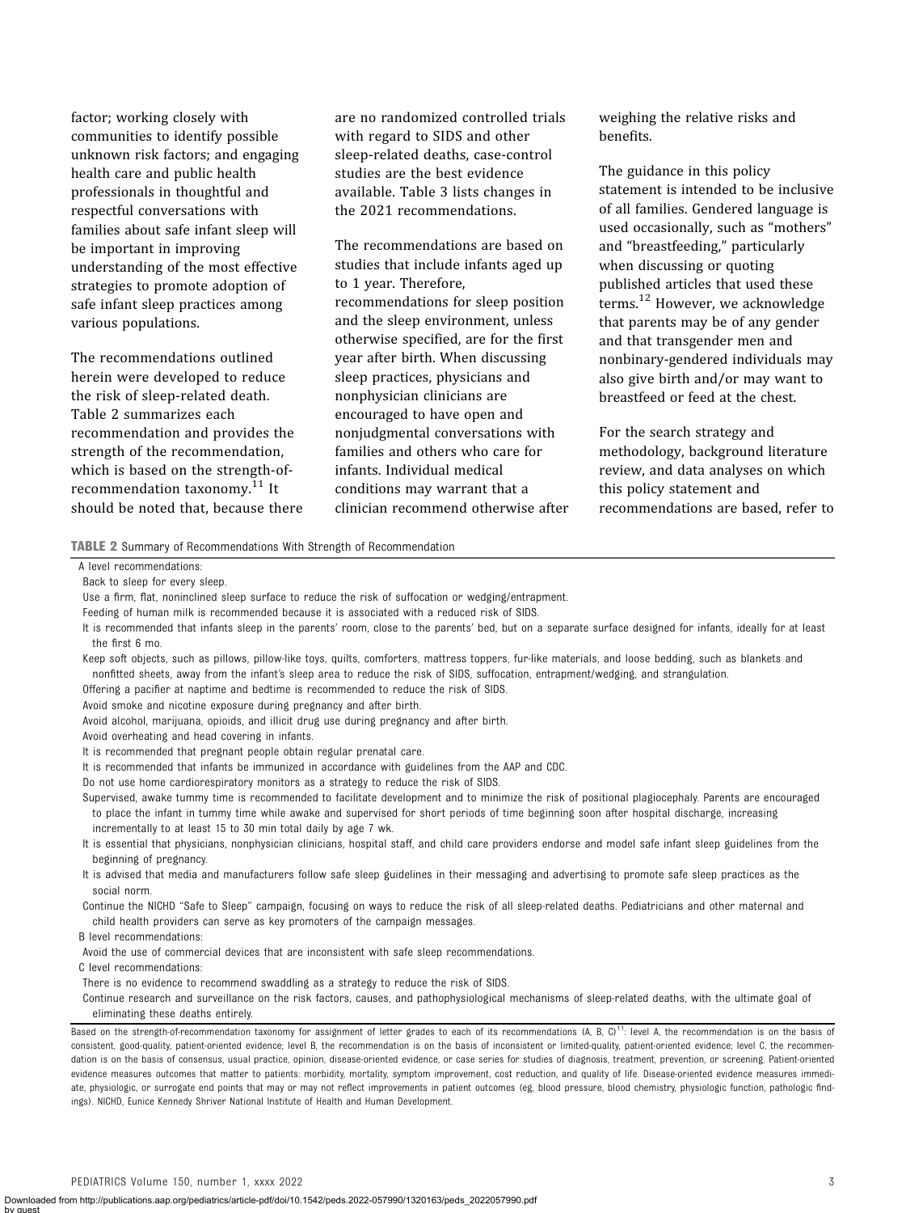factor; working closely with communities to identify possible unknown risk factors; and engaging health care and public health professionals in thoughtful and respectful conversations with families about safe infant sleep will be important in improving understanding of the most effective strategies to promote adoption of safe infant sleep practices among various populations.

The recommendations outlined herein were developed to reduce the risk of sleep-related death. Table 2 summarizes each recommendation and provides the strength of the recommendation, which is based on the strength-of-recommendation taxonomy.<sup>[11](#page-16-0)</sup> It should be noted that, because there are no randomized controlled trials with regard to SIDS and other sleep-related deaths, case-control studies are the best evidence available. [Table 3](#page-3-0) lists changes in the 2021 recommendations.

The recommendations are based on studies that include infants aged up to 1 year. Therefore, recommendations for sleep position and the sleep environment, unless otherwise specified, are for the first year after birth. When discussing sleep practices, physicians and nonphysician clinicians are encouraged to have open and nonjudgmental conversations with families and others who care for infants. Individual medical conditions may warrant that a clinician recommend otherwise after

weighing the relative risks and benefits.

The guidance in this policy statement is intended to be inclusive of all families. Gendered language is used occasionally, such as "mothers" and "breastfeeding," particularly when discussing or quoting published articles that used these terms.[12](#page-16-0) However, we acknowledge that parents may be of any gender and that transgender men and nonbinary-gendered individuals may also give birth and/or may want to breastfeed or feed at the chest.

For the search strategy and methodology, background literature review, and data analyses on which this policy statement and recommendations are based, refer to

TABLE 2 Summary of Recommendations With Strength of Recommendation

A level recommendations:

Use a firm, flat, noninclined sleep surface to reduce the risk of suffocation or wedging/entrapment.

Keep soft objects, such as pillows, pillow-like toys, quilts, comforters, mattress toppers, fur-like materials, and loose bedding, such as blankets and nonfitted sheets, away from the infant's sleep area to reduce the risk of SIDS, suffocation, entrapment/wedging, and strangulation.

Offering a pacifier at naptime and bedtime is recommended to reduce the risk of SIDS.

Avoid smoke and nicotine exposure during pregnancy and after birth.

Avoid alcohol, marijuana, opioids, and illicit drug use during pregnancy and after birth.

Avoid overheating and head covering in infants.

It is recommended that pregnant people obtain regular prenatal care.

It is recommended that infants be immunized in accordance with guidelines from the AAP and CDC.

Do not use home cardiorespiratory monitors as a strategy to reduce the risk of SIDS.

Supervised, awake tummy time is recommended to facilitate development and to minimize the risk of positional plagiocephaly. Parents are encouraged to place the infant in tummy time while awake and supervised for short periods of time beginning soon after hospital discharge, increasing incrementally to at least 15 to 30 min total daily by age 7 wk.

It is essential that physicians, nonphysician clinicians, hospital staff, and child care providers endorse and model safe infant sleep guidelines from the beginning of pregnancy.

It is advised that media and manufacturers follow safe sleep guidelines in their messaging and advertising to promote safe sleep practices as the social norm.

Continue the NICHD "Safe to Sleep" campaign, focusing on ways to reduce the risk of all sleep-related deaths. Pediatricians and other maternal and child health providers can serve as key promoters of the campaign messages.

B level recommendations:

Avoid the use of commercial devices that are inconsistent with safe sleep recommendations.

C level recommendations:

by guest

There is no evidence to recommend swaddling as a strategy to reduce the risk of SIDS.

Continue research and surveillance on the risk factors, causes, and pathophysiological mechanisms of sleep-related deaths, with the ultimate goal of eliminating these deaths entirely.

Back to sleep for every sleep.

Feeding of human milk is recommended because it is associated with a reduced risk of SIDS.

It is recommended that infants sleep in the parents' room, close to the parents' bed, but on a separate surface designed for infants, ideally for at least the first 6 mo.

Based on the strength-of-recommendation taxonomy for assignment of letter grades to each of its recommendations  $(A, B, C)^{11}$  $(A, B, C)^{11}$  $(A, B, C)^{11}$ . level A, the recommendation is on the basis of consistent, good-quality, patient-oriented evidence; level B, the recommendation is on the basis of inconsistent or limited-quality, patient-oriented evidence; level C, the recommendation is on the basis of consensus, usual practice, opinion, disease-oriented evidence, or case series for studies of diagnosis, treatment, prevention, or screening. Patient-oriented evidence measures outcomes that matter to patients: morbidity, mortality, symptom improvement, cost reduction, and quality of life. Disease-oriented evidence measures immediate, physiologic, or surrogate end points that may or may not reflect improvements in patient outcomes (eg, blood pressure, blood chemistry, physiologic function, pathologic findings). NICHD, Eunice Kennedy Shriver National Institute of Health and Human Development.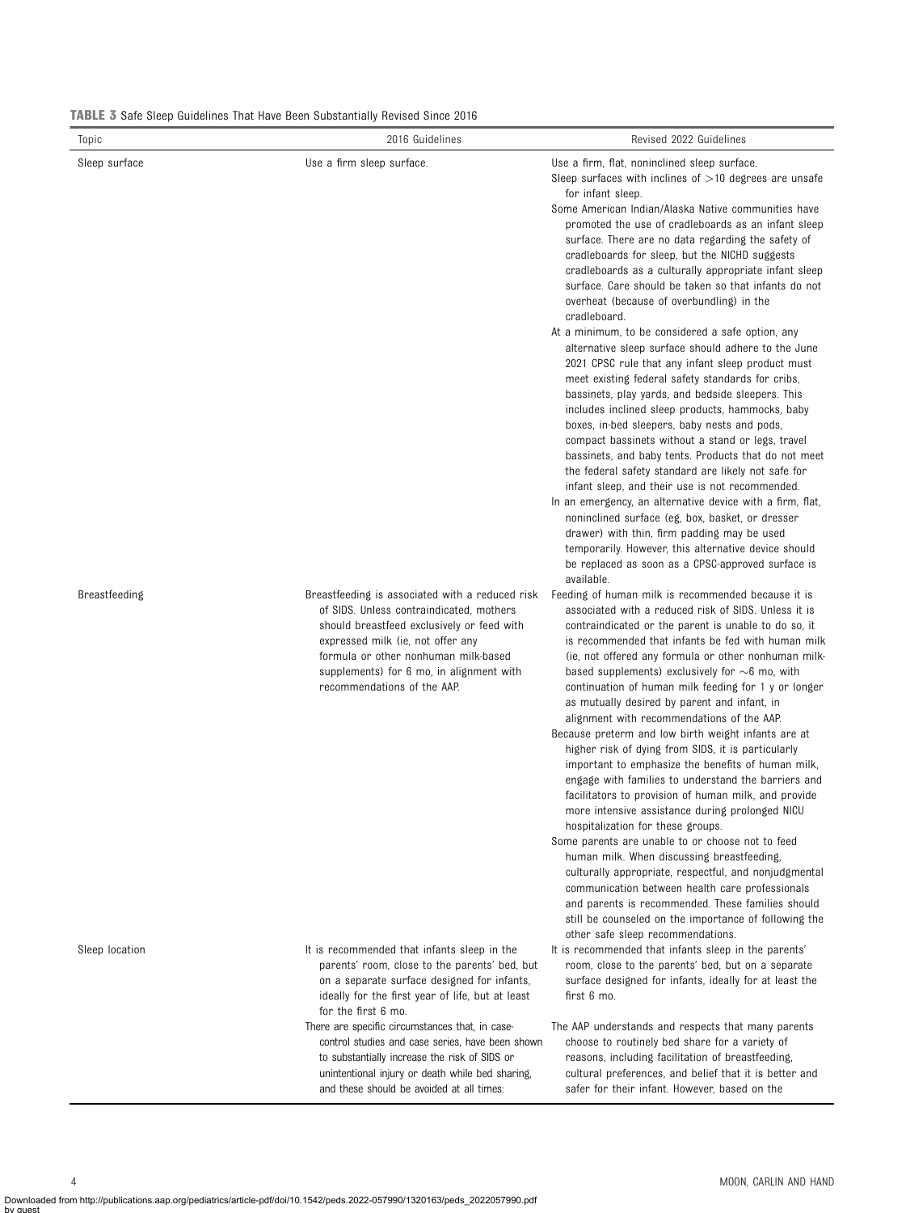<span id="page-3-0"></span>TABLE 3 Safe Sleep Guidelines That Have Been Substantially Revised Since 2016

| Topic          | 2016 Guidelines                                                                                                                                                                                                                                                                                   | Revised 2022 Guidelines                                                                                                                                                                                                                                                                                                                                                                                                                                                                                                                                                                                                                                                                                                                                 |
|----------------|---------------------------------------------------------------------------------------------------------------------------------------------------------------------------------------------------------------------------------------------------------------------------------------------------|---------------------------------------------------------------------------------------------------------------------------------------------------------------------------------------------------------------------------------------------------------------------------------------------------------------------------------------------------------------------------------------------------------------------------------------------------------------------------------------------------------------------------------------------------------------------------------------------------------------------------------------------------------------------------------------------------------------------------------------------------------|
| Sleep surface  | Use a firm sleep surface.                                                                                                                                                                                                                                                                         | Use a firm, flat, noninclined sleep surface.<br>Sleep surfaces with inclines of $>10$ degrees are unsafe<br>for infant sleep.<br>Some American Indian/Alaska Native communities have<br>promoted the use of cradleboards as an infant sleep<br>surface. There are no data regarding the safety of<br>cradleboards for sleep, but the NICHD suggests<br>cradleboards as a culturally appropriate infant sleep<br>surface. Care should be taken so that infants do not<br>overheat (because of overbundling) in the<br>cradleboard.<br>At a minimum, to be considered a safe option, any<br>alternative sleep surface should adhere to the June<br>2021 CPSC rule that any infant sleep product must<br>meet existing federal safety standards for cribs, |
|                |                                                                                                                                                                                                                                                                                                   | bassinets, play yards, and bedside sleepers. This<br>includes inclined sleep products, hammocks, baby<br>boxes, in-bed sleepers, baby nests and pods,<br>compact bassinets without a stand or legs, travel<br>bassinets, and baby tents. Products that do not meet<br>the federal safety standard are likely not safe for<br>infant sleep, and their use is not recommended.<br>In an emergency, an alternative device with a firm, flat,<br>noninclined surface (eg, box, basket, or dresser<br>drawer) with thin, firm padding may be used<br>temporarily. However, this alternative device should<br>be replaced as soon as a CPSC-approved surface is<br>available.                                                                                 |
| Breastfeeding  | Breastfeeding is associated with a reduced risk<br>of SIDS. Unless contraindicated, mothers<br>should breastfeed exclusively or feed with<br>expressed milk (ie, not offer any<br>formula or other nonhuman milk-based<br>supplements) for 6 mo, in alignment with<br>recommendations of the AAP. | Feeding of human milk is recommended because it is<br>associated with a reduced risk of SIDS. Unless it is<br>contraindicated or the parent is unable to do so, it<br>is recommended that infants be fed with human milk<br>(ie, not offered any formula or other nonhuman milk-<br>based supplements) exclusively for $\sim$ 6 mo, with<br>continuation of human milk feeding for 1 y or longer<br>as mutually desired by parent and infant, in<br>alignment with recommendations of the AAP.<br>Because preterm and low birth weight infants are at<br>higher risk of dying from SIDS, it is particularly                                                                                                                                             |
|                |                                                                                                                                                                                                                                                                                                   | important to emphasize the benefits of human milk,<br>engage with families to understand the barriers and<br>facilitators to provision of human milk, and provide<br>more intensive assistance during prolonged NICU<br>hospitalization for these groups.<br>Some parents are unable to or choose not to feed<br>human milk. When discussing breastfeeding,<br>culturally appropriate, respectful, and nonjudgmental<br>communication between health care professionals<br>and parents is recommended. These families should<br>still be counseled on the importance of following the<br>other safe sleep recommendations.                                                                                                                              |
| Sleep location | It is recommended that infants sleep in the<br>parents' room, close to the parents' bed, but<br>on a separate surface designed for infants,<br>ideally for the first year of life, but at least<br>for the first 6 mo.                                                                            | It is recommended that infants sleep in the parents'<br>room, close to the parents' bed, but on a separate<br>surface designed for infants, ideally for at least the<br>first 6 mo.                                                                                                                                                                                                                                                                                                                                                                                                                                                                                                                                                                     |
|                | There are specific circumstances that, in case-<br>control studies and case series, have been shown<br>to substantially increase the risk of SIDS or<br>unintentional injury or death while bed sharing,<br>and these should be avoided at all times:                                             | The AAP understands and respects that many parents<br>choose to routinely bed share for a variety of<br>reasons, including facilitation of breastfeeding,<br>cultural preferences, and belief that it is better and<br>safer for their infant. However, based on the                                                                                                                                                                                                                                                                                                                                                                                                                                                                                    |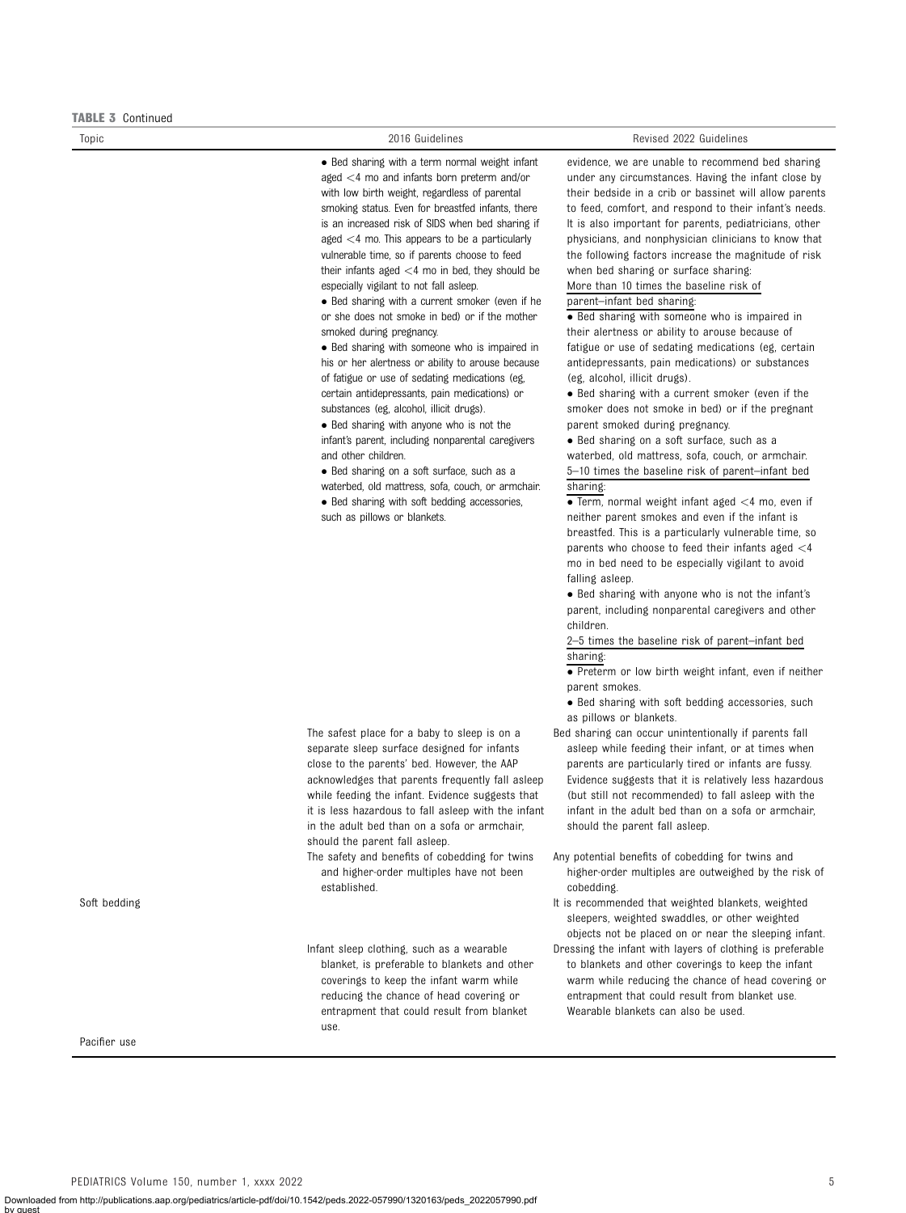#### TABLE 3 Continued

• Bed sharing with a term normal weight infant aged <4 mo and infants born preterm and/or with low birth weight, regardless of parental smoking status. Even for breastfed infants, there is an increased risk of SIDS when bed sharing if aged <4 mo. This appears to be a particularly vulnerable time, so if parents choose to feed their infants aged  $<$ 4 mo in bed, they should be especially vigilant to not fall asleep.

 Bed sharing with a current smoker (even if he or she does not smoke in bed) or if the mother smoked during pregnancy.

• Bed sharing with someone who is impaired in his or her alertness or ability to arouse because of fatigue or use of sedating medications (eg, certain antidepressants, pain medications) or substances (eg, alcohol, illicit drugs).

• Bed sharing with anyone who is not the infant's parent, including nonparental caregivers and other children.

• Bed sharing on a soft surface, such as a

The safest place for a baby to sleep is on a separate sleep surface designed for infants close to the parents' bed. However, the AAP acknowledges that parents frequently fall asleep while feeding the infant. Evidence suggests that it is less hazardous to fall asleep with the infant in the adult bed than on a sofa or armchair,

The safety and benefits of cobedding for twins and higher-order multiples have not been

Infant sleep clothing, such as a wearable blanket, is preferable to blankets and other coverings to keep the infant warm while reducing the chance of head covering or entrapment that could result from blanket

should the parent fall asleep.

established.

use.

waterbed, old mattress, sofa, couch, or armchair. • Bed sharing with soft bedding accessories,

such as pillows or blankets.

#### Topic 2016 Guidelines Revised 2022 Guidelines

evidence, we are unable to recommend bed sharing under any circumstances. Having the infant close by their bedside in a crib or bassinet will allow parents to feed, comfort, and respond to their infant's needs. It is also important for parents, pediatricians, other physicians, and nonphysician clinicians to know that the following factors increase the magnitude of risk when bed sharing or surface sharing:

More than 10 times the baseline risk of

# parent–infant bed sharing:

 Bed sharing with someone who is impaired in their alertness or ability to arouse because of fatigue or use of sedating medications (eg, certain antidepressants, pain medications) or substances (eg, alcohol, illicit drugs).

• Bed sharing with a current smoker (even if the smoker does not smoke in bed) or if the pregnant parent smoked during pregnancy.

• Bed sharing on a soft surface, such as a waterbed, old mattress, sofa, couch, or armchair. 5–10 times the baseline risk of parent–infant bed sharing:

 $\overline{\bullet}$  Term, normal weight infant aged  $\lt$ 4 mo, even if neither parent smokes and even if the infant is breastfed. This is a particularly vulnerable time, so parents who choose to feed their infants aged  $<$ 4 mo in bed need to be especially vigilant to avoid falling asleep.

• Bed sharing with anyone who is not the infant's parent, including nonparental caregivers and other children.

2–5 times the baseline risk of parent–infant bed sharing:

**• Preterm or low birth weight infant, even if neither** parent smokes.

• Bed sharing with soft bedding accessories, such as pillows or blankets.

Bed sharing can occur unintentionally if parents fall asleep while feeding their infant, or at times when parents are particularly tired or infants are fussy. Evidence suggests that it is relatively less hazardous (but still not recommended) to fall asleep with the infant in the adult bed than on a sofa or armchair, should the parent fall asleep.

- Any potential benefits of cobedding for twins and higher-order multiples are outweighed by the risk of cobedding.
- Soft bedding and that weighted blankets, weighted blankets, weighted blankets, weighted sleepers, weighted swaddles, or other weighted objects not be placed on or near the sleeping infant.
	- Dressing the infant with layers of clothing is preferable to blankets and other coverings to keep the infant warm while reducing the chance of head covering or entrapment that could result from blanket use. Wearable blankets can also be used.

Pacifier use

by guest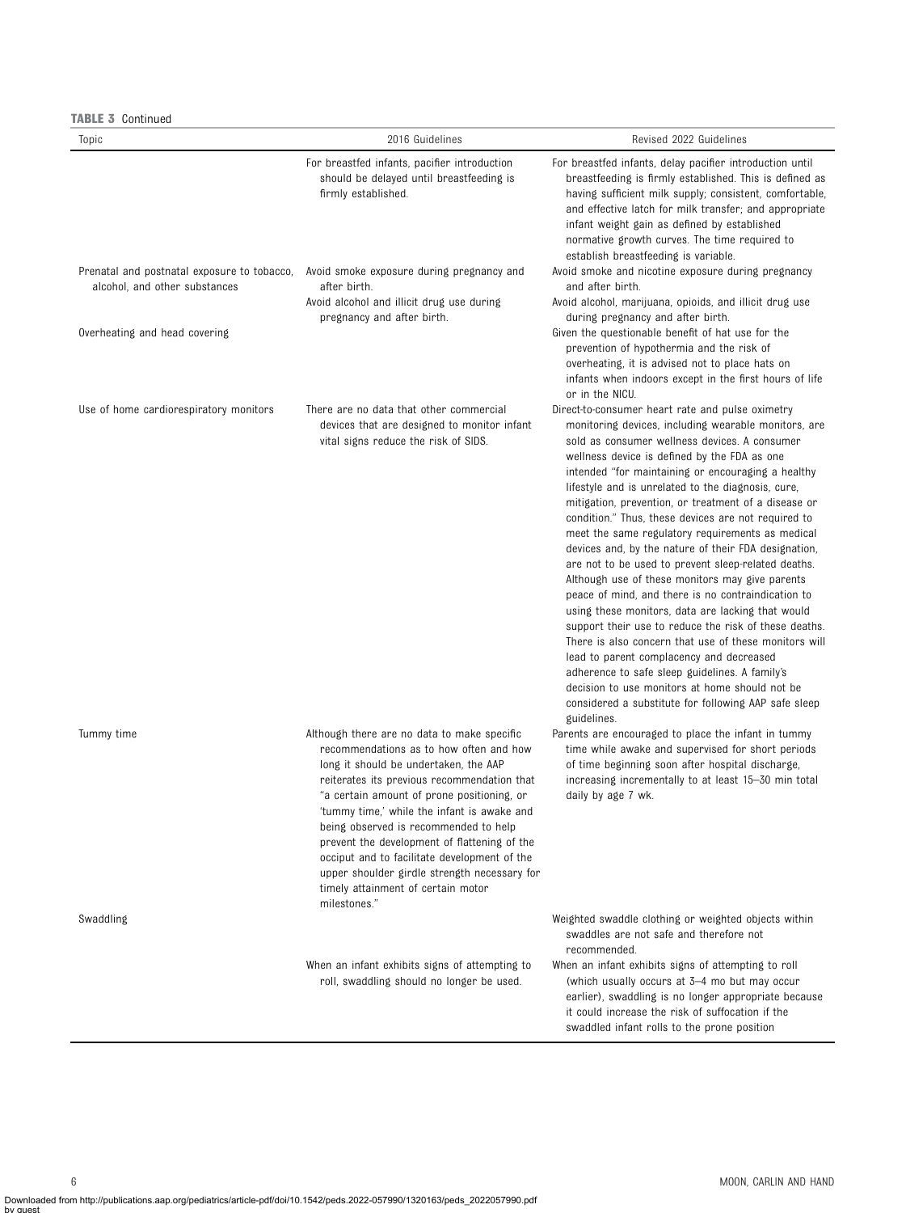TABLE 3 Continued

| Topic                                  | 2016 Guidelines                                                                                                                                                                                                                                                                                                                                                                                                                                                                                                            | Revised 2022 Guidelines                                                                                                                                                                                                                                                                                                                                                                                                                                                                                                                                                                                                                                                                                                                                                                                                                                                                                                                                                                                                                                                                                        |
|----------------------------------------|----------------------------------------------------------------------------------------------------------------------------------------------------------------------------------------------------------------------------------------------------------------------------------------------------------------------------------------------------------------------------------------------------------------------------------------------------------------------------------------------------------------------------|----------------------------------------------------------------------------------------------------------------------------------------------------------------------------------------------------------------------------------------------------------------------------------------------------------------------------------------------------------------------------------------------------------------------------------------------------------------------------------------------------------------------------------------------------------------------------------------------------------------------------------------------------------------------------------------------------------------------------------------------------------------------------------------------------------------------------------------------------------------------------------------------------------------------------------------------------------------------------------------------------------------------------------------------------------------------------------------------------------------|
|                                        | For breastfed infants, pacifier introduction<br>should be delayed until breastfeeding is<br>firmly established.                                                                                                                                                                                                                                                                                                                                                                                                            | For breastfed infants, delay pacifier introduction until<br>breastfeeding is firmly established. This is defined as<br>having sufficient milk supply; consistent, comfortable,<br>and effective latch for milk transfer; and appropriate<br>infant weight gain as defined by established<br>normative growth curves. The time required to<br>establish breastfeeding is variable.                                                                                                                                                                                                                                                                                                                                                                                                                                                                                                                                                                                                                                                                                                                              |
| alcohol, and other substances          | Prenatal and postnatal exposure to tobacco, Avoid smoke exposure during pregnancy and<br>after birth.                                                                                                                                                                                                                                                                                                                                                                                                                      | Avoid smoke and nicotine exposure during pregnancy<br>and after birth.                                                                                                                                                                                                                                                                                                                                                                                                                                                                                                                                                                                                                                                                                                                                                                                                                                                                                                                                                                                                                                         |
|                                        | Avoid alcohol and illicit drug use during<br>pregnancy and after birth.                                                                                                                                                                                                                                                                                                                                                                                                                                                    | Avoid alcohol, marijuana, opioids, and illicit drug use<br>during pregnancy and after birth.                                                                                                                                                                                                                                                                                                                                                                                                                                                                                                                                                                                                                                                                                                                                                                                                                                                                                                                                                                                                                   |
| Overheating and head covering          |                                                                                                                                                                                                                                                                                                                                                                                                                                                                                                                            | Given the questionable benefit of hat use for the<br>prevention of hypothermia and the risk of<br>overheating, it is advised not to place hats on<br>infants when indoors except in the first hours of life<br>or in the NICU.                                                                                                                                                                                                                                                                                                                                                                                                                                                                                                                                                                                                                                                                                                                                                                                                                                                                                 |
| Use of home cardiorespiratory monitors | There are no data that other commercial<br>devices that are designed to monitor infant<br>vital signs reduce the risk of SIDS.                                                                                                                                                                                                                                                                                                                                                                                             | Direct-to-consumer heart rate and pulse oximetry<br>monitoring devices, including wearable monitors, are<br>sold as consumer wellness devices. A consumer<br>wellness device is defined by the FDA as one<br>intended "for maintaining or encouraging a healthy<br>lifestyle and is unrelated to the diagnosis, cure,<br>mitigation, prevention, or treatment of a disease or<br>condition." Thus, these devices are not required to<br>meet the same regulatory requirements as medical<br>devices and, by the nature of their FDA designation,<br>are not to be used to prevent sleep-related deaths.<br>Although use of these monitors may give parents<br>peace of mind, and there is no contraindication to<br>using these monitors, data are lacking that would<br>support their use to reduce the risk of these deaths.<br>There is also concern that use of these monitors will<br>lead to parent complacency and decreased<br>adherence to safe sleep guidelines. A family's<br>decision to use monitors at home should not be<br>considered a substitute for following AAP safe sleep<br>guidelines. |
| Tummy time                             | Although there are no data to make specific<br>recommendations as to how often and how<br>long it should be undertaken, the AAP<br>reiterates its previous recommendation that<br>"a certain amount of prone positioning, or<br>'tummy time,' while the infant is awake and<br>being observed is recommended to help<br>prevent the development of flattening of the<br>occiput and to facilitate development of the<br>upper shoulder girdle strength necessary for<br>timely attainment of certain motor<br>milestones." | Parents are encouraged to place the infant in tummy<br>time while awake and supervised for short periods<br>of time beginning soon after hospital discharge,<br>increasing incrementally to at least 15–30 min total<br>daily by age 7 wk.                                                                                                                                                                                                                                                                                                                                                                                                                                                                                                                                                                                                                                                                                                                                                                                                                                                                     |
| Swaddling                              |                                                                                                                                                                                                                                                                                                                                                                                                                                                                                                                            | Weighted swaddle clothing or weighted objects within<br>swaddles are not safe and therefore not<br>recommended.                                                                                                                                                                                                                                                                                                                                                                                                                                                                                                                                                                                                                                                                                                                                                                                                                                                                                                                                                                                                |
|                                        | When an infant exhibits signs of attempting to<br>roll, swaddling should no longer be used.                                                                                                                                                                                                                                                                                                                                                                                                                                | When an infant exhibits signs of attempting to roll<br>(which usually occurs at 3-4 mo but may occur<br>earlier), swaddling is no longer appropriate because<br>it could increase the risk of suffocation if the<br>swaddled infant rolls to the prone position                                                                                                                                                                                                                                                                                                                                                                                                                                                                                                                                                                                                                                                                                                                                                                                                                                                |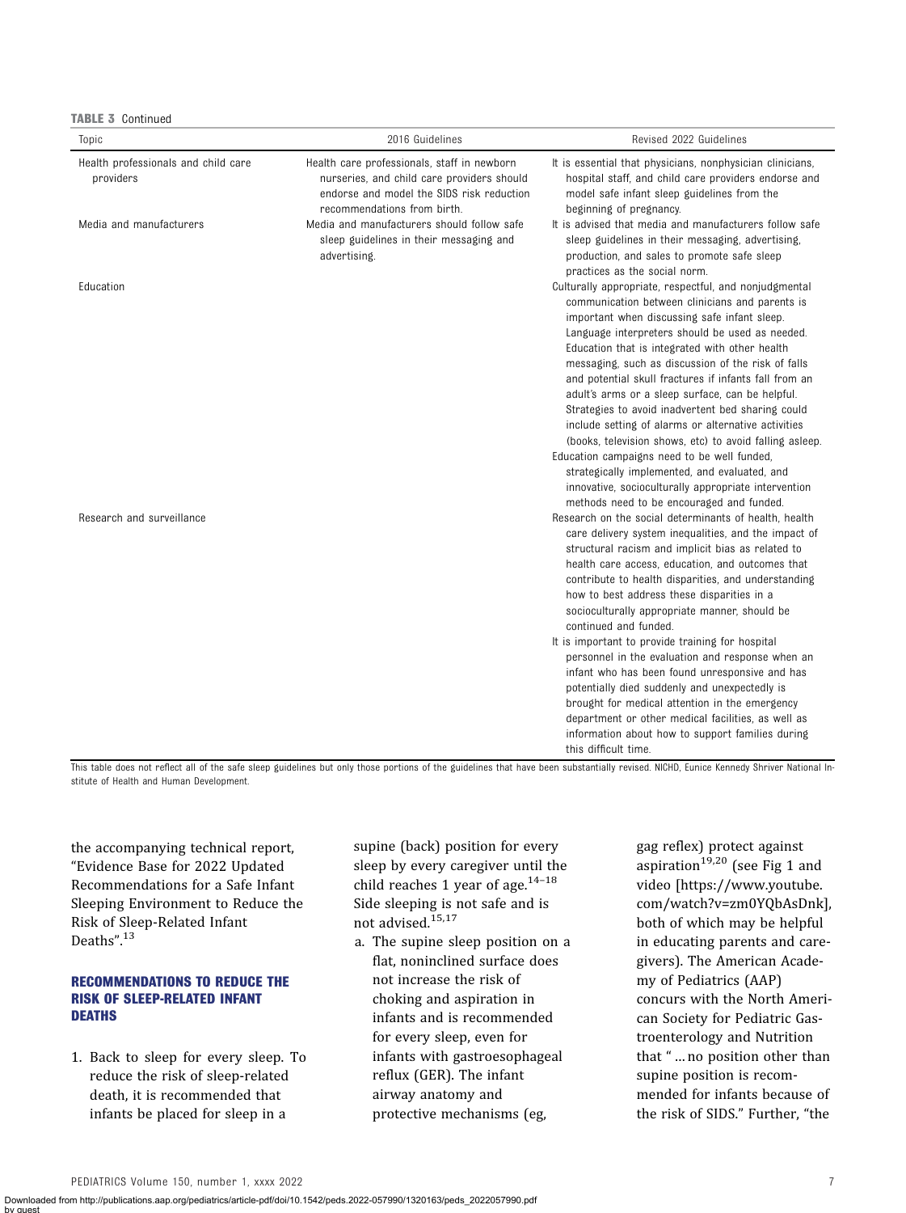TABLE 3 Continued

| Topic                                            | 2016 Guidelines                                                                                                                                                       | Revised 2022 Guidelines                                                                                                                                                                                                                                                                                                                                                                                                                                                                                                                                                                                                                                                                                                                                                                                      |
|--------------------------------------------------|-----------------------------------------------------------------------------------------------------------------------------------------------------------------------|--------------------------------------------------------------------------------------------------------------------------------------------------------------------------------------------------------------------------------------------------------------------------------------------------------------------------------------------------------------------------------------------------------------------------------------------------------------------------------------------------------------------------------------------------------------------------------------------------------------------------------------------------------------------------------------------------------------------------------------------------------------------------------------------------------------|
| Health professionals and child care<br>providers | Health care professionals, staff in newborn<br>nurseries, and child care providers should<br>endorse and model the SIDS risk reduction<br>recommendations from birth. | It is essential that physicians, nonphysician clinicians,<br>hospital staff, and child care providers endorse and<br>model safe infant sleep guidelines from the<br>beginning of pregnancy.                                                                                                                                                                                                                                                                                                                                                                                                                                                                                                                                                                                                                  |
| Media and manufacturers                          | Media and manufacturers should follow safe<br>sleep guidelines in their messaging and<br>advertising.                                                                 | It is advised that media and manufacturers follow safe<br>sleep guidelines in their messaging, advertising,<br>production, and sales to promote safe sleep<br>practices as the social norm.                                                                                                                                                                                                                                                                                                                                                                                                                                                                                                                                                                                                                  |
| Education                                        |                                                                                                                                                                       | Culturally appropriate, respectful, and nonjudgmental<br>communication between clinicians and parents is<br>important when discussing safe infant sleep.<br>Language interpreters should be used as needed.<br>Education that is integrated with other health<br>messaging, such as discussion of the risk of falls<br>and potential skull fractures if infants fall from an<br>adult's arms or a sleep surface, can be helpful.<br>Strategies to avoid inadvertent bed sharing could<br>include setting of alarms or alternative activities<br>(books, television shows, etc) to avoid falling asleep.<br>Education campaigns need to be well funded,<br>strategically implemented, and evaluated, and<br>innovative, socioculturally appropriate intervention<br>methods need to be encouraged and funded. |
| Research and surveillance                        |                                                                                                                                                                       | Research on the social determinants of health, health<br>care delivery system inequalities, and the impact of<br>structural racism and implicit bias as related to<br>health care access, education, and outcomes that<br>contribute to health disparities, and understanding<br>how to best address these disparities in a<br>socioculturally appropriate manner, should be<br>continued and funded.<br>It is important to provide training for hospital<br>personnel in the evaluation and response when an<br>infant who has been found unresponsive and has<br>potentially died suddenly and unexpectedly is<br>brought for medical attention in the emergency<br>department or other medical facilities, as well as<br>information about how to support families during<br>this difficult time.         |

This table does not reflect all of the safe sleep guidelines but only those portions of the guidelines that have been substantially revised. NICHD, Eunice Kennedy Shriver National Institute of Health and Human Development.

the accompanying technical report, "Evidence Base for 2022 Updated Recommendations for a Safe Infant Sleeping Environment to Reduce the Risk of Sleep-Related Infant Deaths".<sup>[13](#page-16-0)</sup>

# RECOMMENDATIONS TO REDUCE THE RISK OF SLEEP-RELATED INFANT DEATHS

1. Back to sleep for every sleep. To reduce the risk of sleep-related death, it is recommended that infants be placed for sleep in a

supine (back) position for every sleep by every caregiver until the child reaches 1 year of age. $14-18$  $14-18$  $14-18$ Side sleeping is not safe and is not advised.[15,17](#page-17-0)

a. The supine sleep position on a flat, noninclined surface does not increase the risk of choking and aspiration in infants and is recommended for every sleep, even for infants with gastroesophageal reflux (GER). The infant airway anatomy and protective mechanisms (eg,

gag reflex) protect against aspiration<sup>[19](#page-17-0),[20](#page-17-0)</sup> (see [Fig 1](#page-7-0) and video [[https://www.youtube.](https://www.youtube.com/watch?v=zm0YQbAsDnk) [com/watch?v=zm0YQbAsDnk\]](https://www.youtube.com/watch?v=zm0YQbAsDnk), both of which may be helpful in educating parents and caregivers). The American Academy of Pediatrics (AAP) concurs with the North American Society for Pediatric Gastroenterology and Nutrition that " … no position other than supine position is recommended for infants because of the risk of SIDS." Further, "the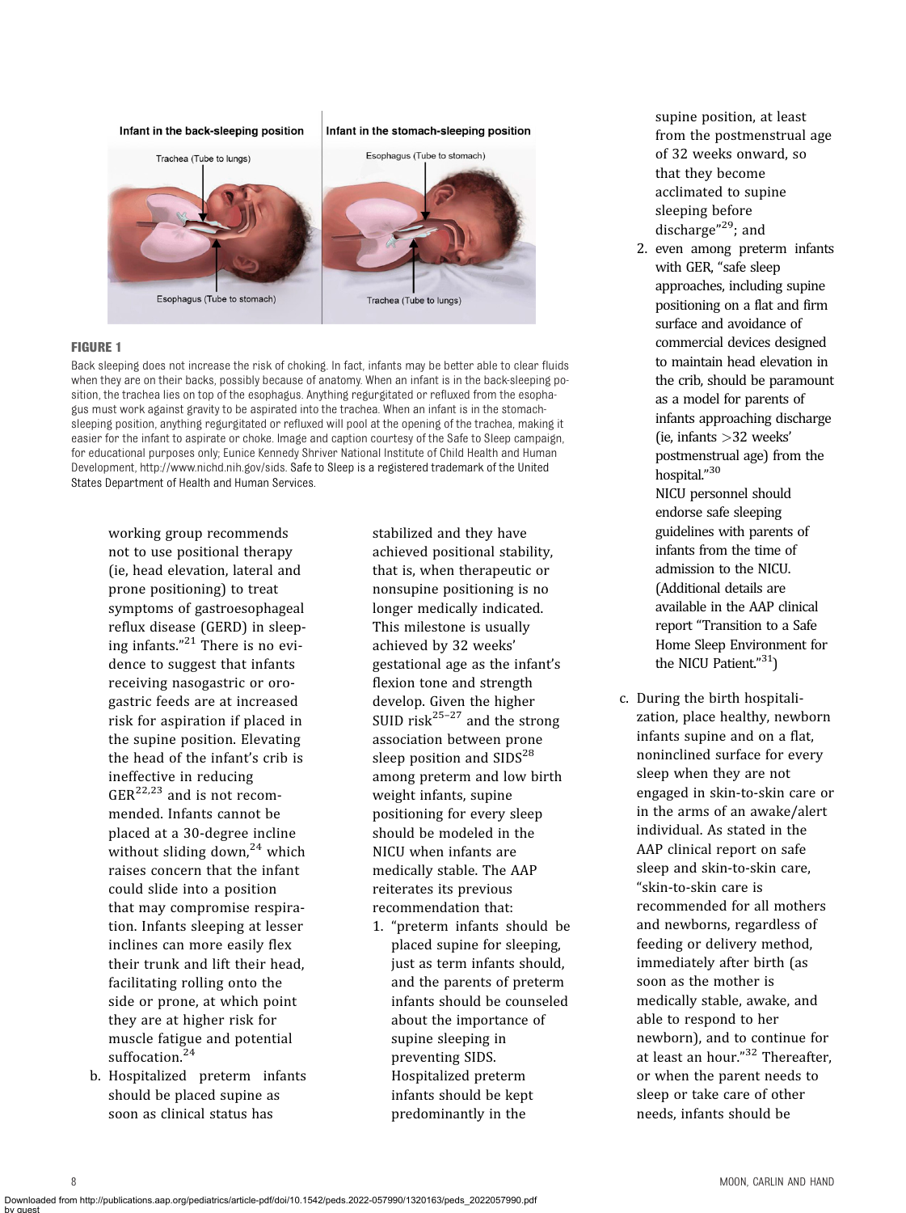<span id="page-7-0"></span>

#### FIGURE 1

Back sleeping does not increase the risk of choking. In fact, infants may be better able to clear fluids when they are on their backs, possibly because of anatomy. When an infant is in the back-sleeping position, the trachea lies on top of the esophagus. Anything regurgitated or refluxed from the esophagus must work against gravity to be aspirated into the trachea. When an infant is in the stomachsleeping position, anything regurgitated or refluxed will pool at the opening of the trachea, making it easier for the infant to aspirate or choke. Image and caption courtesy of the Safe to Sleep campaign, for educational purposes only; Eunice Kennedy Shriver National Institute of Child Health and Human Development,<http://www.nichd.nih.gov/sids>. Safe to Sleep is a registered trademark of the United States Department of Health and Human Services.

working group recommends not to use positional therapy (ie, head elevation, lateral and prone positioning) to treat symptoms of gastroesophageal reflux disease (GERD) in sleeping infants." [21](#page-17-0) There is no evidence to suggest that infants receiving nasogastric or orogastric feeds are at increased risk for aspiration if placed in the supine position. Elevating the head of the infant's crib is ineffective in reducing  $GER^{22,23}$  $GER^{22,23}$  $GER^{22,23}$  and is not recommended. Infants cannot be placed at a 30-degree incline without sliding down, $24$  which raises concern that the infant could slide into a position that may compromise respiration. Infants sleeping at lesser inclines can more easily flex their trunk and lift their head, facilitating rolling onto the side or prone, at which point they are at higher risk for muscle fatigue and potential suffocation.<sup>[24](#page-17-0)</sup>

b. Hospitalized preterm infants should be placed supine as soon as clinical status has

stabilized and they have achieved positional stability, that is, when therapeutic or nonsupine positioning is no longer medically indicated. This milestone is usually achieved by 32 weeks' gestational age as the infant's flexion tone and strength develop. Given the higher SUID risk<sup>[25](#page-17-0)-[27](#page-17-0)</sup> and the strong association between prone sleep position and SIDS<sup>[28](#page-17-0)</sup> among preterm and low birth weight infants, supine positioning for every sleep should be modeled in the NICU when infants are medically stable. The AAP reiterates its previous recommendation that:

1. "preterm infants should be placed supine for sleeping, just as term infants should, and the parents of preterm infants should be counseled about the importance of supine sleeping in preventing SIDS. Hospitalized preterm infants should be kept predominantly in the

supine position, at least from the postmenstrual age of 32 weeks onward, so that they become acclimated to supine sleeping before discharge"<sup>29</sup>; and

- 2. even among preterm infants with GER, "safe sleep approaches, including supine positioning on a flat and firm surface and avoidance of commercial devices designed to maintain head elevation in the crib, should be paramount as a model for parents of infants approaching discharge (ie, infants >32 weeks' postmenstrual age) from the hospital." [30](#page-17-0) NICU personnel should endorse safe sleeping guidelines with parents of infants from the time of admission to the NICU. (Additional details are available in the AAP clinical report "Transition to a Safe Home Sleep Environment for the NICU Patient."[31](#page-17-0))
- c. During the birth hospitalization, place healthy, newborn infants supine and on a flat, noninclined surface for every sleep when they are not engaged in skin-to-skin care or in the arms of an awake/alert individual. As stated in the AAP clinical report on safe sleep and skin-to-skin care, "skin-to-skin care is recommended for all mothers and newborns, regardless of feeding or delivery method, immediately after birth (as soon as the mother is medically stable, awake, and able to respond to her newborn), and to continue for at least an hour." [32](#page-17-0) Thereafter, or when the parent needs to sleep or take care of other needs, infants should be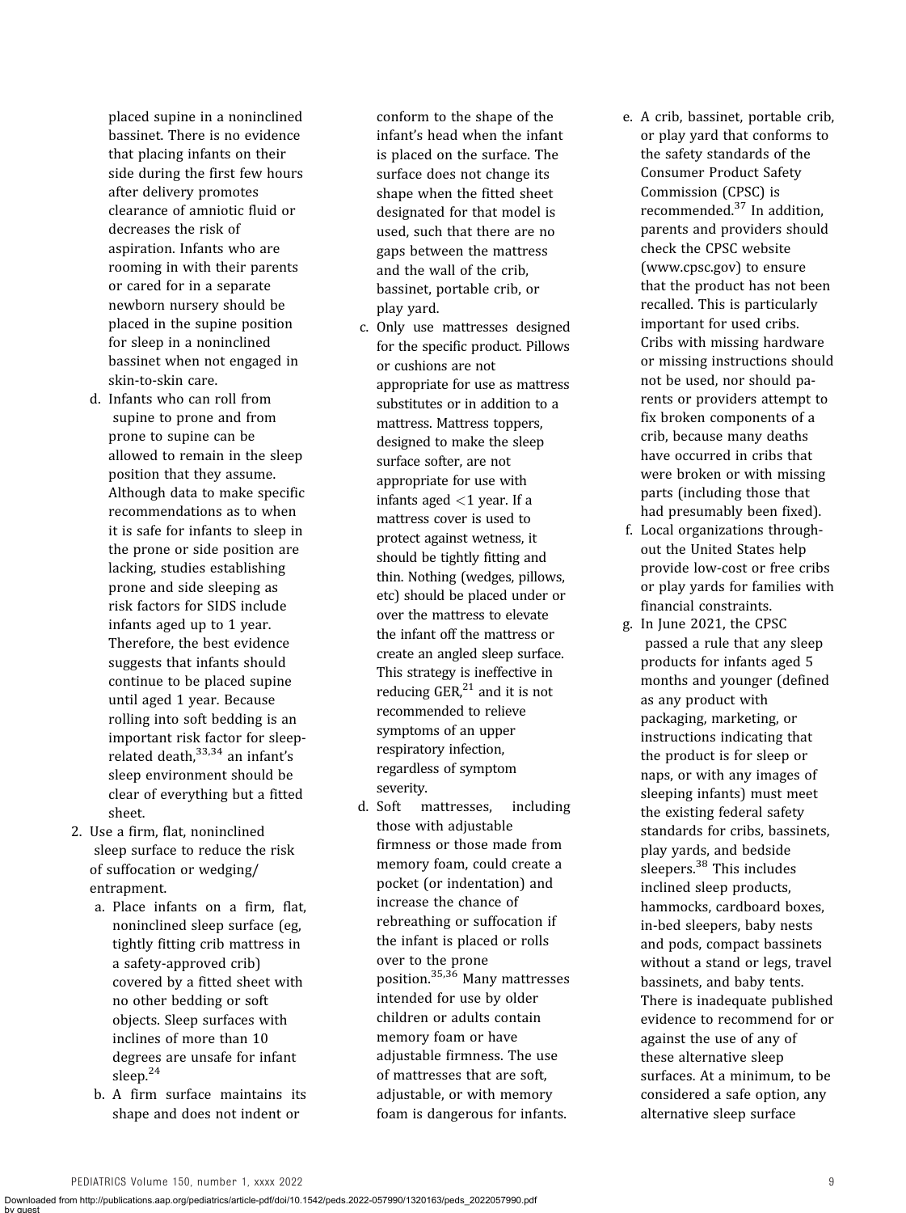placed supine in a noninclined bassinet. There is no evidence that placing infants on their side during the first few hours after delivery promotes clearance of amniotic fluid or decreases the risk of aspiration. Infants who are rooming in with their parents or cared for in a separate newborn nursery should be placed in the supine position for sleep in a noninclined bassinet when not engaged in skin-to-skin care.

- d. Infants who can roll from supine to prone and from prone to supine can be allowed to remain in the sleep position that they assume. Although data to make specific recommendations as to when it is safe for infants to sleep in the prone or side position are lacking, studies establishing prone and side sleeping as risk factors for SIDS include infants aged up to 1 year. Therefore, the best evidence suggests that infants should continue to be placed supine until aged 1 year. Because rolling into soft bedding is an important risk factor for sleeprelated death. $33,34$  an infant's sleep environment should be clear of everything but a fitted sheet.
- 2. Use a firm, flat, noninclined sleep surface to reduce the risk of suffocation or wedging/ entrapment.
	- a. Place infants on a firm, flat, noninclined sleep surface (eg, tightly fitting crib mattress in a safety-approved crib) covered by a fitted sheet with no other bedding or soft objects. Sleep surfaces with inclines of more than 10 degrees are unsafe for infant sleep.[24](#page-17-0)
	- b. A firm surface maintains its shape and does not indent or

conform to the shape of the infant's head when the infant is placed on the surface. The surface does not change its shape when the fitted sheet designated for that model is used, such that there are no gaps between the mattress and the wall of the crib, bassinet, portable crib, or play yard.

- c. Only use mattresses designed for the specific product. Pillows or cushions are not appropriate for use as mattress substitutes or in addition to a mattress. Mattress toppers, designed to make the sleep surface softer, are not appropriate for use with infants aged  $<$ 1 year. If a mattress cover is used to protect against wetness, it should be tightly fitting and thin. Nothing (wedges, pillows, etc) should be placed under or over the mattress to elevate the infant off the mattress or create an angled sleep surface. This strategy is ineffective in reducing  $GER<sub>1</sub><sup>21</sup>$  $GER<sub>1</sub><sup>21</sup>$  $GER<sub>1</sub><sup>21</sup>$  and it is not recommended to relieve symptoms of an upper respiratory infection, regardless of symptom severity.
- d. Soft mattresses, including those with adjustable firmness or those made from memory foam, could create a pocket (or indentation) and increase the chance of rebreathing or suffocation if the infant is placed or rolls over to the prone position.[35](#page-17-0),[36](#page-17-0) Many mattresses intended for use by older children or adults contain memory foam or have adjustable firmness. The use of mattresses that are soft, adjustable, or with memory foam is dangerous for infants.
- e. A crib, bassinet, portable crib, or play yard that conforms to the safety standards of the Consumer Product Safety Commission (CPSC) is recommended.[37](#page-17-0) In addition, parents and providers should check the CPSC website [\(www.cpsc.gov](http://www.cpsc.gov)) to ensure that the product has not been recalled. This is particularly important for used cribs. Cribs with missing hardware or missing instructions should not be used, nor should parents or providers attempt to fix broken components of a crib, because many deaths have occurred in cribs that were broken or with missing parts (including those that had presumably been fixed).
- f. Local organizations throughout the United States help provide low-cost or free cribs or play yards for families with financial constraints.
- g. In June 2021, the CPSC passed a rule that any sleep products for infants aged 5 months and younger (defined as any product with packaging, marketing, or instructions indicating that the product is for sleep or naps, or with any images of sleeping infants) must meet the existing federal safety standards for cribs, bassinets, play yards, and bedside sleepers.<sup>[38](#page-17-0)</sup> This includes inclined sleep products, hammocks, cardboard boxes, in-bed sleepers, baby nests and pods, compact bassinets without a stand or legs, travel bassinets, and baby tents. There is inadequate published evidence to recommend for or against the use of any of these alternative sleep surfaces. At a minimum, to be considered a safe option, any alternative sleep surface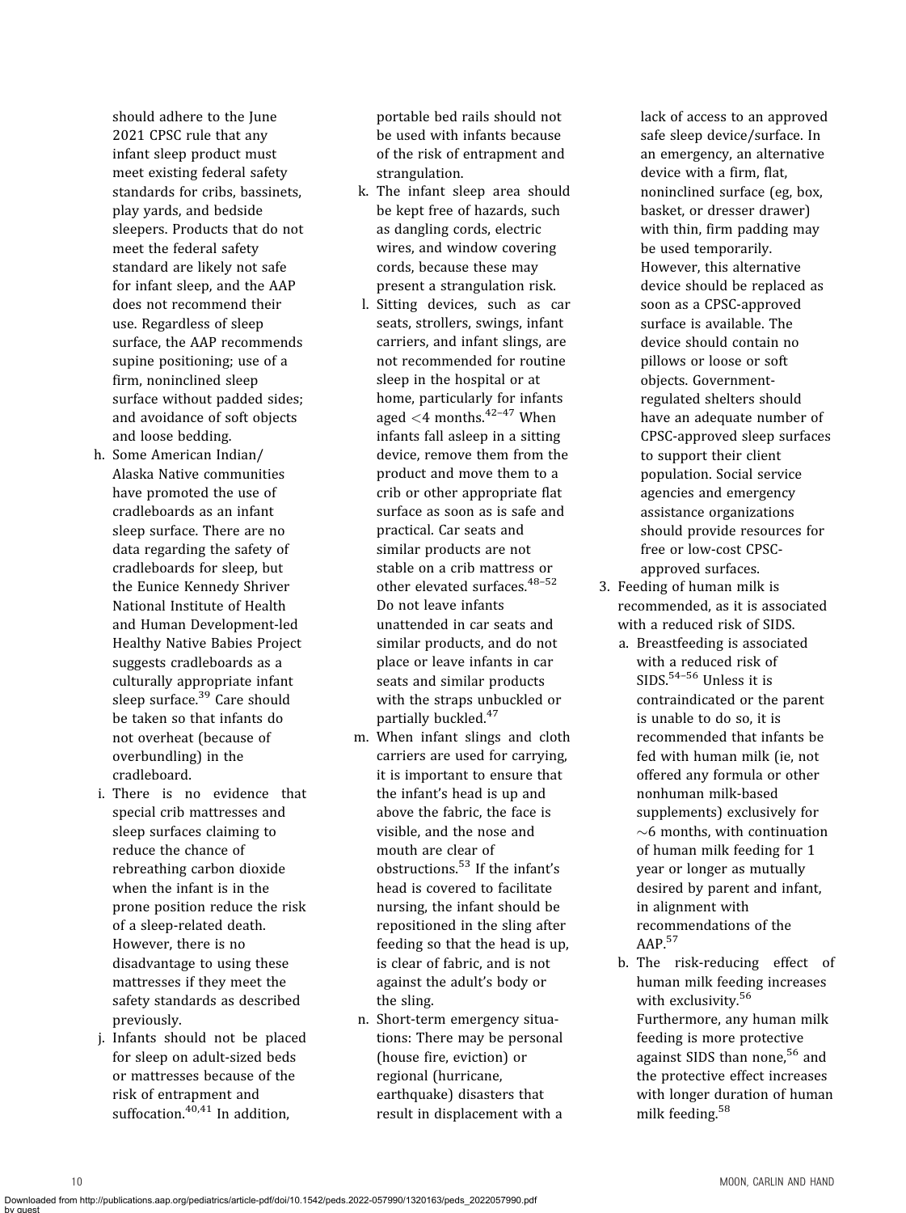should adhere to the June 2021 CPSC rule that any infant sleep product must meet existing federal safety standards for cribs, bassinets, play yards, and bedside sleepers. Products that do not meet the federal safety standard are likely not safe for infant sleep, and the AAP does not recommend their use. Regardless of sleep surface, the AAP recommends supine positioning; use of a firm, noninclined sleep surface without padded sides; and avoidance of soft objects and loose bedding.

- h. Some American Indian/ Alaska Native communities have promoted the use of cradleboards as an infant sleep surface. There are no data regarding the safety of cradleboards for sleep, but the Eunice Kennedy Shriver National Institute of Health and Human Development-led Healthy Native Babies Project suggests cradleboards as a culturally appropriate infant sleep surface.<sup>[39](#page-17-0)</sup> Care should be taken so that infants do not overheat (because of overbundling) in the cradleboard.
- i. There is no evidence that special crib mattresses and sleep surfaces claiming to reduce the chance of rebreathing carbon dioxide when the infant is in the prone position reduce the risk of a sleep-related death. However, there is no disadvantage to using these mattresses if they meet the safety standards as described previously.
- j. Infants should not be placed for sleep on adult-sized beds or mattresses because of the risk of entrapment and suffocation. $40,41$  In addition,

portable bed rails should not be used with infants because of the risk of entrapment and strangulation.

- k. The infant sleep area should be kept free of hazards, such as dangling cords, electric wires, and window covering cords, because these may present a strangulation risk.
- l. Sitting devices, such as car seats, strollers, swings, infant carriers, and infant slings, are not recommended for routine sleep in the hospital or at home, particularly for infants aged  $<$ 4 months.<sup>[42](#page-17-0)-[47](#page-17-0)</sup> When infants fall asleep in a sitting device, remove them from the product and move them to a crib or other appropriate flat surface as soon as is safe and practical. Car seats and similar products are not stable on a crib mattress or other elevated surfaces.<sup>[48](#page-18-0)-[52](#page-18-0)</sup> Do not leave infants unattended in car seats and similar products, and do not place or leave infants in car seats and similar products with the straps unbuckled or partially buckled.<sup>[47](#page-18-0)</sup>
- m. When infant slings and cloth carriers are used for carrying, it is important to ensure that the infant's head is up and above the fabric, the face is visible, and the nose and mouth are clear of obstructions.[53](#page-18-0) If the infant's head is covered to facilitate nursing, the infant should be repositioned in the sling after feeding so that the head is up, is clear of fabric, and is not against the adult's body or the sling.
- n. Short-term emergency situations: There may be personal (house fire, eviction) or regional (hurricane, earthquake) disasters that result in displacement with a

lack of access to an approved safe sleep device/surface. In an emergency, an alternative device with a firm, flat, noninclined surface (eg, box, basket, or dresser drawer) with thin, firm padding may be used temporarily. However, this alternative device should be replaced as soon as a CPSC-approved surface is available. The device should contain no pillows or loose or soft objects. Governmentregulated shelters should have an adequate number of CPSC-approved sleep surfaces to support their client population. Social service agencies and emergency assistance organizations should provide resources for free or low-cost CPSCapproved surfaces.

- 3. Feeding of human milk is recommended, as it is associated with a reduced risk of SIDS.
	- a. Breastfeeding is associated with a reduced risk of SIDS.[54](#page-18-0)–[56](#page-18-0) Unless it is contraindicated or the parent is unable to do so, it is recommended that infants be fed with human milk (ie, not offered any formula or other nonhuman milk-based supplements) exclusively for  $\sim$ 6 months, with continuation of human milk feeding for 1 year or longer as mutually desired by parent and infant, in alignment with recommendations of the AAP.[57](#page-18-0)
	- b. The risk-reducing effect of human milk feeding increases with exclusivity.<sup>[56](#page-18-0)</sup> Furthermore, any human milk feeding is more protective against SIDS than none,<sup>[56](#page-18-0)</sup> and the protective effect increases with longer duration of human milk feeding.[58](#page-18-0)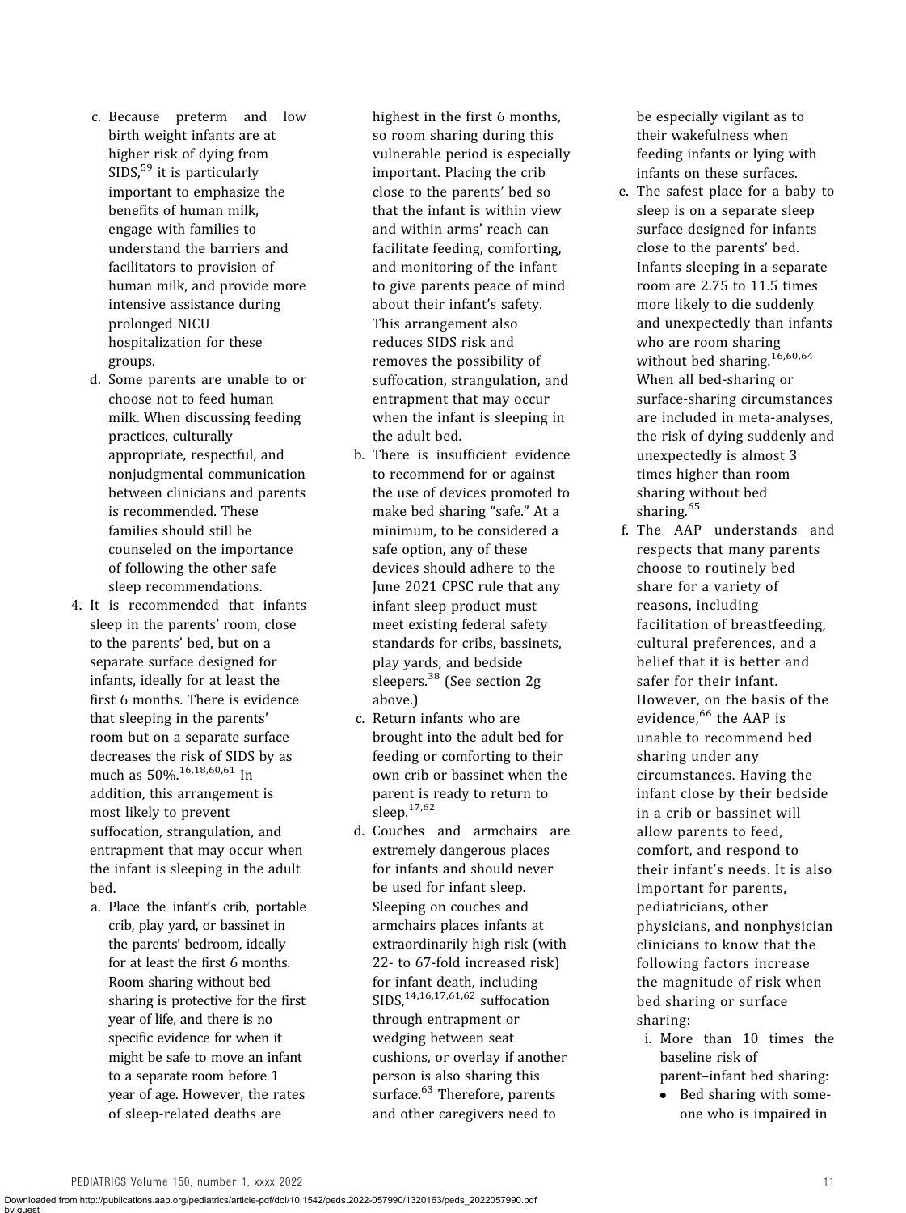- c. Because preterm and low birth weight infants are at higher risk of dying from  $SIDS<sub>1</sub><sup>59</sup>$  $SIDS<sub>1</sub><sup>59</sup>$  $SIDS<sub>1</sub><sup>59</sup>$  it is particularly important to emphasize the benefits of human milk, engage with families to understand the barriers and facilitators to provision of human milk, and provide more intensive assistance during prolonged NICU hospitalization for these groups.
- d. Some parents are unable to or choose not to feed human milk. When discussing feeding practices, culturally appropriate, respectful, and nonjudgmental communication between clinicians and parents is recommended. These families should still be counseled on the importance of following the other safe sleep recommendations.
- 4. It is recommended that infants sleep in the parents' room, close to the parents' bed, but on a separate surface designed for infants, ideally for at least the first 6 months. There is evidence that sleeping in the parents' room but on a separate surface decreases the risk of SIDS by as much as 50%.[16,18](#page-17-0),[60,61](#page-18-0) In addition, this arrangement is most likely to prevent suffocation, strangulation, and entrapment that may occur when the infant is sleeping in the adult bed.
	- a. Place the infant's crib, portable crib, play yard, or bassinet in the parents' bedroom, ideally for at least the first 6 months. Room sharing without bed sharing is protective for the first year of life, and there is no specific evidence for when it might be safe to move an infant to a separate room before 1 year of age. However, the rates of sleep-related deaths are

highest in the first 6 months, so room sharing during this vulnerable period is especially important. Placing the crib close to the parents' bed so that the infant is within view and within arms' reach can facilitate feeding, comforting, and monitoring of the infant to give parents peace of mind about their infant's safety. This arrangement also reduces SIDS risk and removes the possibility of suffocation, strangulation, and entrapment that may occur when the infant is sleeping in the adult bed.

- b. There is insufficient evidence to recommend for or against the use of devices promoted to make bed sharing "safe." At a minimum, to be considered a safe option, any of these devices should adhere to the June 2021 CPSC rule that any infant sleep product must meet existing federal safety standards for cribs, bassinets, play yards, and bedside sleepers.<sup>[38](#page-17-0)</sup> (See section 2g above.)
- c. Return infants who are brought into the adult bed for feeding or comforting to their own crib or bassinet when the parent is ready to return to sleep.[17,](#page-17-0)[62](#page-18-0)
- d. Couches and armchairs are extremely dangerous places for infants and should never be used for infant sleep. Sleeping on couches and armchairs places infants at extraordinarily high risk (with 22- to 67-fold increased risk) for infant death, including  $SIDS^{14,16,17,61,62}$  $SIDS^{14,16,17,61,62}$  $SIDS^{14,16,17,61,62}$  $SIDS^{14,16,17,61,62}$  $SIDS^{14,16,17,61,62}$  suffocation through entrapment or wedging between seat cushions, or overlay if another person is also sharing this surface.<sup>[63](#page-18-0)</sup> Therefore, parents

and other caregivers need to

be especially vigilant as to their wakefulness when feeding infants or lying with infants on these surfaces.

- e. The safest place for a baby to sleep is on a separate sleep surface designed for infants close to the parents' bed. Infants sleeping in a separate room are 2.75 to 11.5 times more likely to die suddenly and unexpectedly than infants who are room sharing without bed sharing.<sup>[16,](#page-17-0)[60,64](#page-18-0)</sup> When all bed-sharing or surface-sharing circumstances are included in meta-analyses, the risk of dying suddenly and unexpectedly is almost 3 times higher than room sharing without bed sharing.<sup>[65](#page-18-0)</sup>
- f. The AAP understands and respects that many parents choose to routinely bed share for a variety of reasons, including facilitation of breastfeeding, cultural preferences, and a belief that it is better and safer for their infant. However, on the basis of the evidence, <sup>[66](#page-18-0)</sup> the AAP is unable to recommend bed sharing under any circumstances. Having the infant close by their bedside in a crib or bassinet will allow parents to feed, comfort, and respond to their infant's needs. It is also important for parents, pediatricians, other physicians, and nonphysician clinicians to know that the following factors increase the magnitude of risk when bed sharing or surface sharing:
	- i. More than 10 times the baseline risk of parent–infant bed sharing:
		- Bed sharing with someone who is impaired in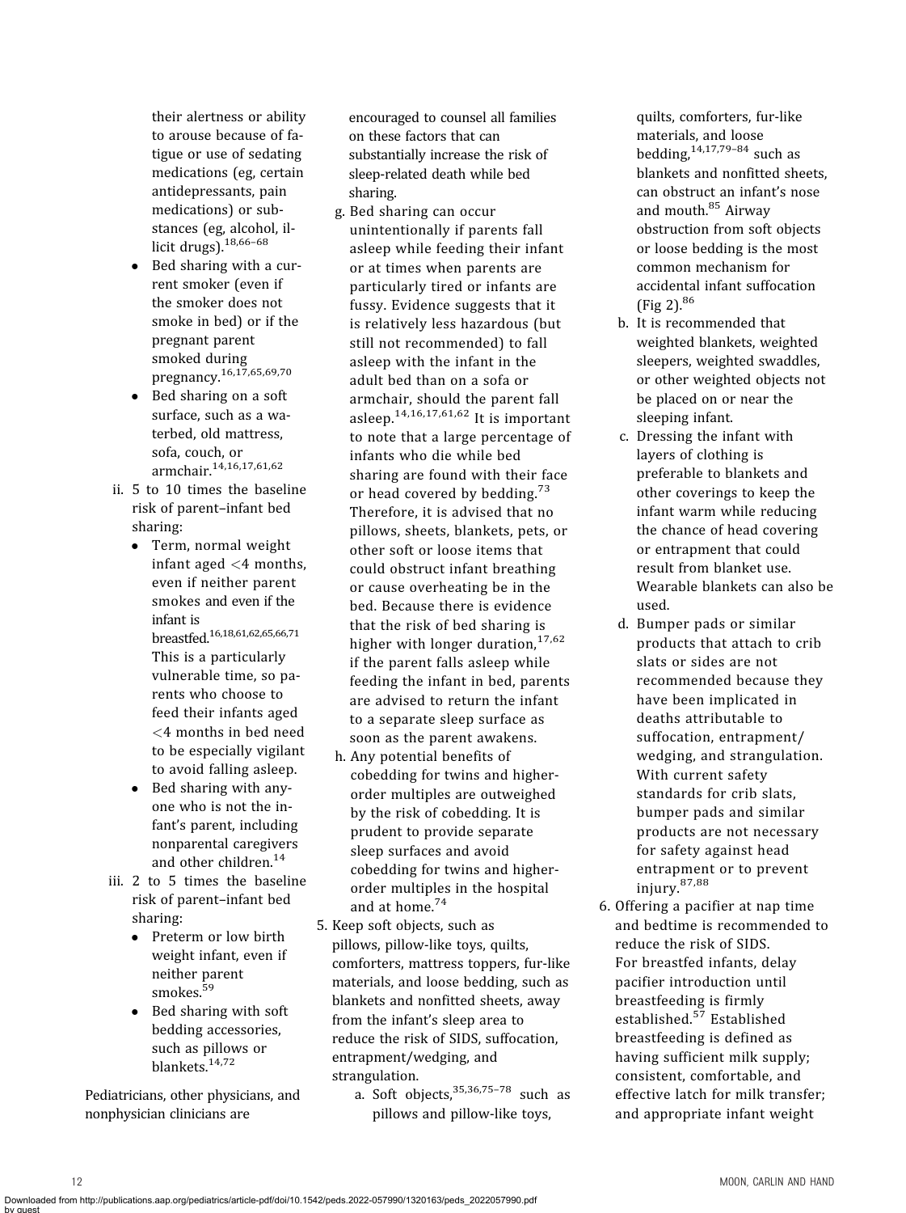their alertness or ability to arouse because of fatigue or use of sedating medications (eg, certain antidepressants, pain medications) or substances (eg, alcohol, il-licit drugs).<sup>[18,](#page-17-0)[66](#page-18-0)-[68](#page-18-0)</sup>

- Bed sharing with a current smoker (even if the smoker does not smoke in bed) or if the pregnant parent smoked during pregnancy.[16,17](#page-17-0),[65,69](#page-18-0),[70](#page-18-0)
- Bed sharing on a soft surface, such as a waterbed, old mattress, sofa, couch, or armchair.[14,16](#page-17-0),[17](#page-17-0)[,61](#page-18-0),[62](#page-18-0)
- ii. 5 to 10 times the baseline risk of parent–infant bed sharing:
	- Term, normal weight infant aged <4 months, even if neither parent smokes and even if the infant is breastfed[.16,18](#page-17-0)[,61](#page-18-0),[62,65](#page-18-0),[66,71](#page-18-0) This is a particularly vulnerable time, so parents who choose to feed their infants aged <4 months in bed need to be especially vigilant to avoid falling asleep.
	- Bed sharing with anyone who is not the infant's parent, including nonparental caregivers and other children.<sup>[14](#page-17-0)</sup>
- iii. 2 to 5 times the baseline risk of parent–infant bed sharing:
	- Preterm or low birth weight infant, even if neither parent smokes.[59](#page-18-0)
	- Bed sharing with soft bedding accessories, such as pillows or blankets.[14](#page-17-0),[72](#page-18-0)

Pediatricians, other physicians, and nonphysician clinicians are

encouraged to counsel all families on these factors that can substantially increase the risk of sleep-related death while bed sharing.

- g. Bed sharing can occur unintentionally if parents fall asleep while feeding their infant or at times when parents are particularly tired or infants are fussy. Evidence suggests that it is relatively less hazardous (but still not recommended) to fall asleep with the infant in the adult bed than on a sofa or armchair, should the parent fall asleep.[14](#page-17-0),[16](#page-17-0),[17](#page-17-0),[61](#page-18-0),[62](#page-18-0) It is important to note that a large percentage of infants who die while bed sharing are found with their face or head covered by bedding.<sup>[73](#page-18-0)</sup> Therefore, it is advised that no pillows, sheets, blankets, pets, or other soft or loose items that could obstruct infant breathing or cause overheating be in the bed. Because there is evidence that the risk of bed sharing is higher with longer duration.<sup>[17](#page-17-0),[62](#page-18-0)</sup> if the parent falls asleep while feeding the infant in bed, parents are advised to return the infant to a separate sleep surface as soon as the parent awakens.
- h. Any potential benefits of cobedding for twins and higherorder multiples are outweighed by the risk of cobedding. It is prudent to provide separate sleep surfaces and avoid cobedding for twins and higherorder multiples in the hospital and at home.[74](#page-18-0)
- 5. Keep soft objects, such as pillows, pillow-like toys, quilts, comforters, mattress toppers, fur-like materials, and loose bedding, such as blankets and nonfitted sheets, away from the infant's sleep area to reduce the risk of SIDS, suffocation, entrapment/wedging, and strangulation.

a. Soft objects,  $35,36,75-78$  $35,36,75-78$  $35,36,75-78$  $35,36,75-78$  $35,36,75-78$  $35,36,75-78$  such as pillows and pillow-like toys,

quilts, comforters, fur-like materials, and loose bedding,  $14,17,79-84$  $14,17,79-84$  $14,17,79-84$  $14,17,79-84$  $14,17,79-84$  such as blankets and nonfitted sheets, can obstruct an infant's nose and mouth.<sup>[85](#page-19-0)</sup> Airway obstruction from soft objects or loose bedding is the most common mechanism for accidental infant suffocation  $(Fig 2).^{86}$  $(Fig 2).^{86}$  $(Fig 2).^{86}$  $(Fig 2).^{86}$  $(Fig 2).^{86}$ 

- b. It is recommended that weighted blankets, weighted sleepers, weighted swaddles, or other weighted objects not be placed on or near the sleeping infant.
- c. Dressing the infant with layers of clothing is preferable to blankets and other coverings to keep the infant warm while reducing the chance of head covering or entrapment that could result from blanket use. Wearable blankets can also be used.
- d. Bumper pads or similar products that attach to crib slats or sides are not recommended because they have been implicated in deaths attributable to suffocation, entrapment/ wedging, and strangulation. With current safety standards for crib slats, bumper pads and similar products are not necessary for safety against head entrapment or to prevent injury.[87,88](#page-19-0)
- 6. Offering a pacifier at nap time and bedtime is recommended to reduce the risk of SIDS. For breastfed infants, delay pacifier introduction until breastfeeding is firmly established.<sup>[57](#page-18-0)</sup> Established breastfeeding is defined as having sufficient milk supply; consistent, comfortable, and effective latch for milk transfer; and appropriate infant weight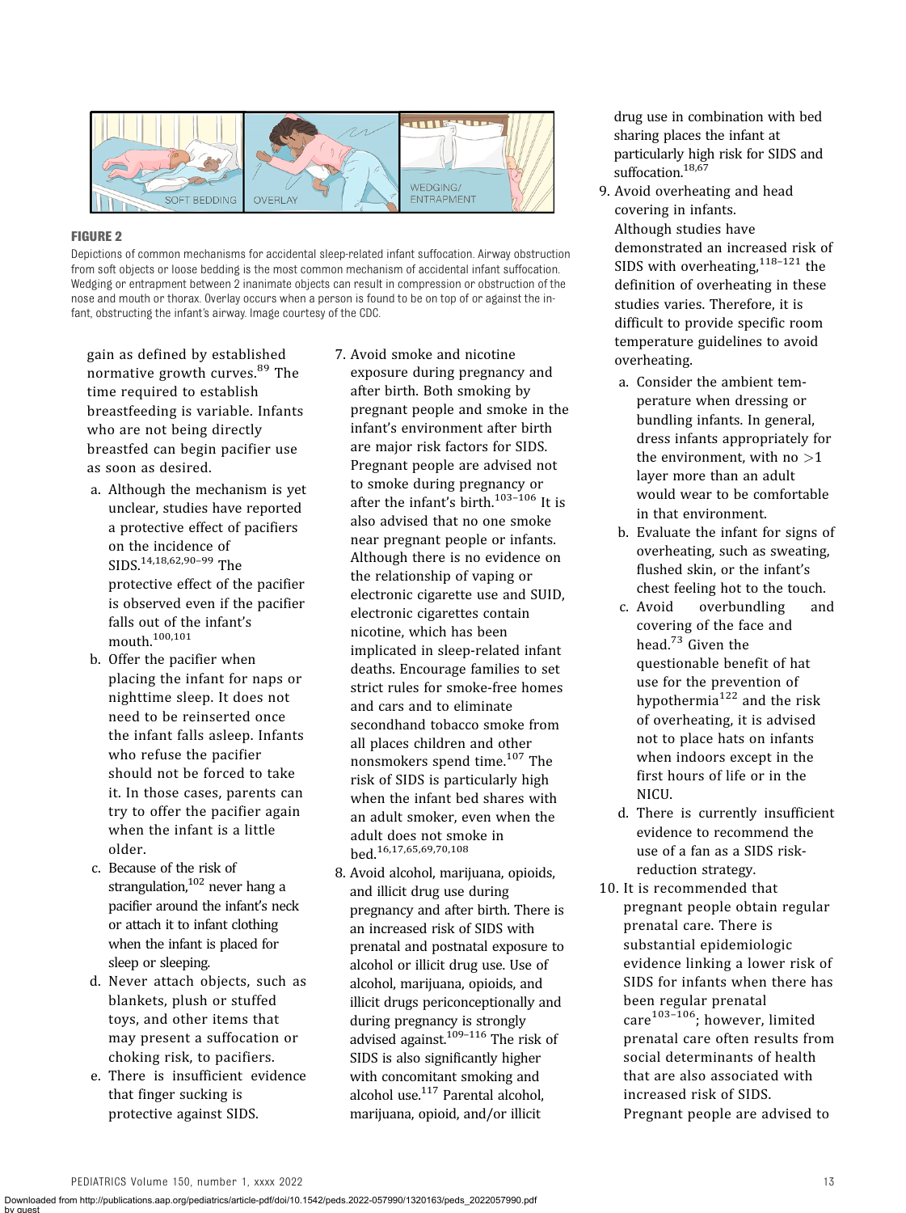<span id="page-12-0"></span>

### FIGURE 2

Depictions of common mechanisms for accidental sleep-related infant suffocation. Airway obstruction from soft objects or loose bedding is the most common mechanism of accidental infant suffocation. Wedging or entrapment between 2 inanimate objects can result in compression or obstruction of the nose and mouth or thorax. Overlay occurs when a person is found to be on top of or against the infant, obstructing the infant's airway. Image courtesy of the CDC.

gain as defined by established normative growth curves.<sup>[89](#page-19-0)</sup> The time required to establish breastfeeding is variable. Infants who are not being directly breastfed can begin pacifier use as soon as desired.

- a. Although the mechanism is yet unclear, studies have reported a protective effect of pacifiers on the incidence of SIDS.[14,18](#page-17-0)[,62](#page-18-0),[90](#page-19-0)–[99](#page-19-0) The protective effect of the pacifier is observed even if the pacifier falls out of the infant's mouth.[100](#page-19-0),[101](#page-19-0)
- b. Offer the pacifier when placing the infant for naps or nighttime sleep. It does not need to be reinserted once the infant falls asleep. Infants who refuse the pacifier should not be forced to take it. In those cases, parents can try to offer the pacifier again when the infant is a little older.
- c. Because of the risk of strangulation, $102$  never hang a pacifier around the infant's neck or attach it to infant clothing when the infant is placed for sleep or sleeping.
- d. Never attach objects, such as blankets, plush or stuffed toys, and other items that may present a suffocation or choking risk, to pacifiers.
- e. There is insufficient evidence that finger sucking is protective against SIDS.
- 7. Avoid smoke and nicotine exposure during pregnancy and after birth. Both smoking by pregnant people and smoke in the infant's environment after birth are major risk factors for SIDS. Pregnant people are advised not to smoke during pregnancy or after the infant's birth.<sup>[103](#page-19-0)-[106](#page-19-0)</sup> It is also advised that no one smoke near pregnant people or infants. Although there is no evidence on the relationship of vaping or electronic cigarette use and SUID, electronic cigarettes contain nicotine, which has been implicated in sleep-related infant deaths. Encourage families to set strict rules for smoke-free homes and cars and to eliminate secondhand tobacco smoke from all places children and other nonsmokers spend time.<sup>[107](#page-19-0)</sup> The risk of SIDS is particularly high when the infant bed shares with an adult smoker, even when the adult does not smoke in bed.[16](#page-17-0),[17](#page-17-0)[,65](#page-18-0),[69,70](#page-18-0),[108](#page-20-0)
- 8. Avoid alcohol, marijuana, opioids, and illicit drug use during pregnancy and after birth. There is an increased risk of SIDS with prenatal and postnatal exposure to alcohol or illicit drug use. Use of alcohol, marijuana, opioids, and illicit drugs periconceptionally and during pregnancy is strongly advised against.<sup>109-[116](#page-20-0)</sup> The risk of SIDS is also significantly higher with concomitant smoking and alcohol use[.117](#page-20-0) Parental alcohol, marijuana, opioid, and/or illicit

drug use in combination with bed sharing places the infant at particularly high risk for SIDS and suffocation.<sup>18[,67](#page-18-0)</sup>

- 9. Avoid overheating and head covering in infants. Although studies have demonstrated an increased risk of SIDS with overheating,  $118-121$  $118-121$  $118-121$  the definition of overheating in these studies varies. Therefore, it is difficult to provide specific room temperature guidelines to avoid overheating.
	- a. Consider the ambient temperature when dressing or bundling infants. In general, dress infants appropriately for the environment, with no  $>1$ layer more than an adult would wear to be comfortable in that environment.
	- b. Evaluate the infant for signs of overheating, such as sweating, flushed skin, or the infant's chest feeling hot to the touch.
	- c. Avoid overbundling and covering of the face and head.<sup>[73](#page-18-0)</sup> Given the questionable benefit of hat use for the prevention of hypothermia $122$  and the risk of overheating, it is advised not to place hats on infants when indoors except in the first hours of life or in the NICU.
	- d. There is currently insufficient evidence to recommend the use of a fan as a SIDS riskreduction strategy.
- 10. It is recommended that pregnant people obtain regular prenatal care. There is substantial epidemiologic evidence linking a lower risk of SIDS for infants when there has been regular prenatal care<sup>[103](#page-19-0)-[106](#page-19-0)</sup>; however, limited prenatal care often results from social determinants of health that are also associated with increased risk of SIDS. Pregnant people are advised to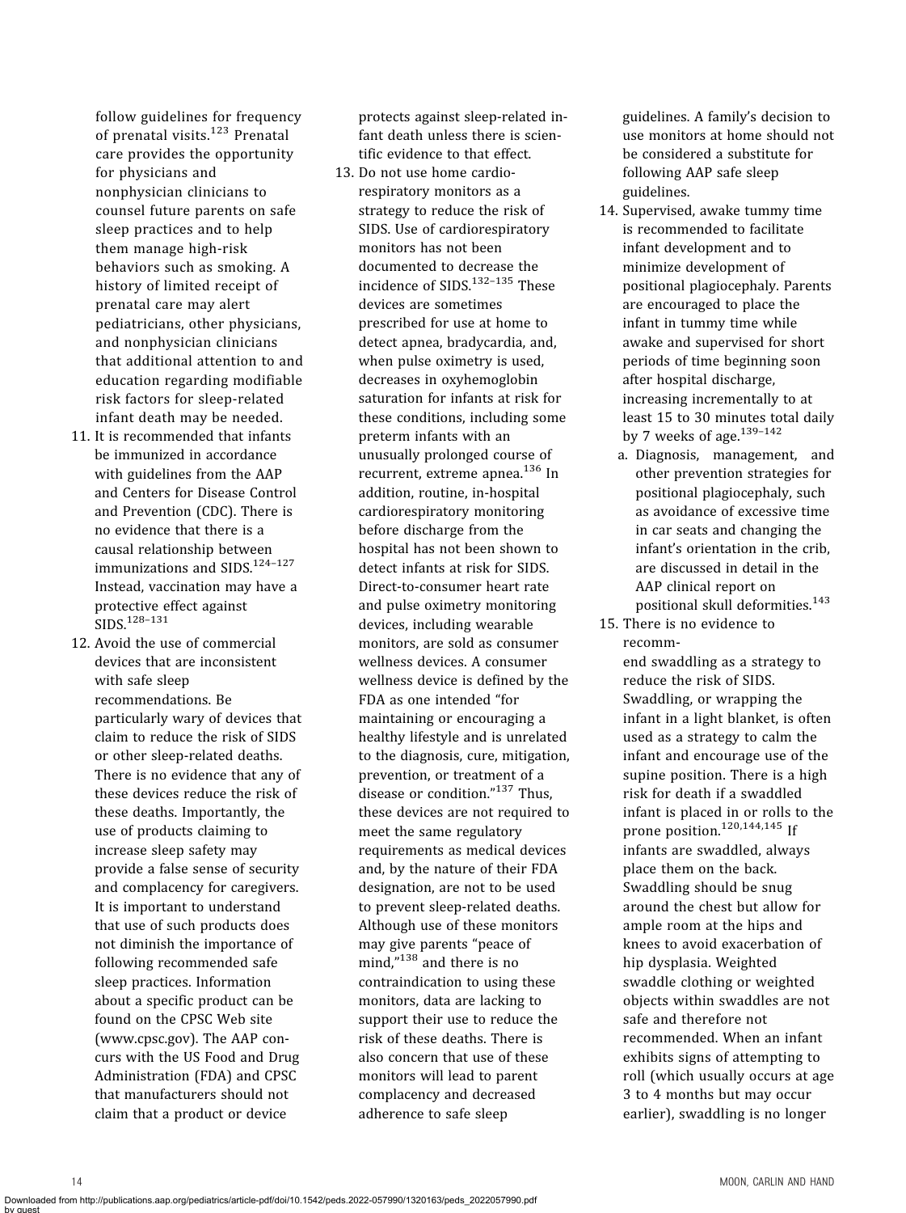follow guidelines for frequency of prenatal visits.<sup>[123](#page-20-0)</sup> Prenatal care provides the opportunity for physicians and nonphysician clinicians to counsel future parents on safe sleep practices and to help them manage high-risk behaviors such as smoking. A history of limited receipt of prenatal care may alert pediatricians, other physicians, and nonphysician clinicians that additional attention to and education regarding modifiable risk factors for sleep-related infant death may be needed.

- 11. It is recommended that infants be immunized in accordance with guidelines from the AAP and Centers for Disease Control and Prevention (CDC). There is no evidence that there is a causal relationship between immunizations and SIDS[.124](#page-20-0)–[127](#page-20-0) Instead, vaccination may have a protective effect against SIDS.[128](#page-20-0)–[131](#page-20-0)
- 12. Avoid the use of commercial devices that are inconsistent with safe sleep recommendations. Be particularly wary of devices that claim to reduce the risk of SIDS or other sleep-related deaths. There is no evidence that any of these devices reduce the risk of these deaths. Importantly, the use of products claiming to increase sleep safety may provide a false sense of security and complacency for caregivers. It is important to understand that use of such products does not diminish the importance of following recommended safe sleep practices. Information about a specific product can be found on the CPSC Web site ([www.cpsc.gov\)](http://www.cpsc.gov). The AAP concurs with the US Food and Drug Administration (FDA) and CPSC that manufacturers should not claim that a product or device

by guest

protects against sleep-related infant death unless there is scientific evidence to that effect.

13. Do not use home cardiorespiratory monitors as a strategy to reduce the risk of SIDS. Use of cardiorespiratory monitors has not been documented to decrease the incidence of SIDS.<sup>132-[135](#page-20-0)</sup> These devices are sometimes prescribed for use at home to detect apnea, bradycardia, and, when pulse oximetry is used, decreases in oxyhemoglobin saturation for infants at risk for these conditions, including some preterm infants with an unusually prolonged course of recurrent, extreme apnea.<sup>[136](#page-20-0)</sup> In addition, routine, in-hospital cardiorespiratory monitoring before discharge from the hospital has not been shown to detect infants at risk for SIDS. Direct-to-consumer heart rate and pulse oximetry monitoring devices, including wearable monitors, are sold as consumer wellness devices. A consumer wellness device is defined by the FDA as one intended "for maintaining or encouraging a healthy lifestyle and is unrelated to the diagnosis, cure, mitigation, prevention, or treatment of a disease or condition." [137](#page-20-0) Thus, these devices are not required to meet the same regulatory requirements as medical devices and, by the nature of their FDA designation, are not to be used to prevent sleep-related deaths. Although use of these monitors may give parents "peace of mind," [138](#page-20-0) and there is no contraindication to using these monitors, data are lacking to support their use to reduce the risk of these deaths. There is also concern that use of these monitors will lead to parent complacency and decreased adherence to safe sleep

guidelines. A family's decision to use monitors at home should not be considered a substitute for following AAP safe sleep guidelines.

- 14. Supervised, awake tummy time is recommended to facilitate infant development and to minimize development of positional plagiocephaly. Parents are encouraged to place the infant in tummy time while awake and supervised for short periods of time beginning soon after hospital discharge, increasing incrementally to at least 15 to 30 minutes total daily by 7 weeks of age. $139-142$  $139-142$  $139-142$ 
	- a. Diagnosis, management, and other prevention strategies for positional plagiocephaly, such as avoidance of excessive time in car seats and changing the infant's orientation in the crib, are discussed in detail in the AAP clinical report on positional skull deformities.<sup>[143](#page-21-0)</sup>
- 15. There is no evidence to recomm-

end swaddling as a strategy to reduce the risk of SIDS. Swaddling, or wrapping the infant in a light blanket, is often used as a strategy to calm the infant and encourage use of the supine position. There is a high risk for death if a swaddled infant is placed in or rolls to the prone position.<sup>[120,](#page-20-0)[144,145](#page-21-0)</sup> If infants are swaddled, always place them on the back. Swaddling should be snug around the chest but allow for ample room at the hips and knees to avoid exacerbation of hip dysplasia. Weighted swaddle clothing or weighted objects within swaddles are not safe and therefore not recommended. When an infant exhibits signs of attempting to roll (which usually occurs at age 3 to 4 months but may occur earlier), swaddling is no longer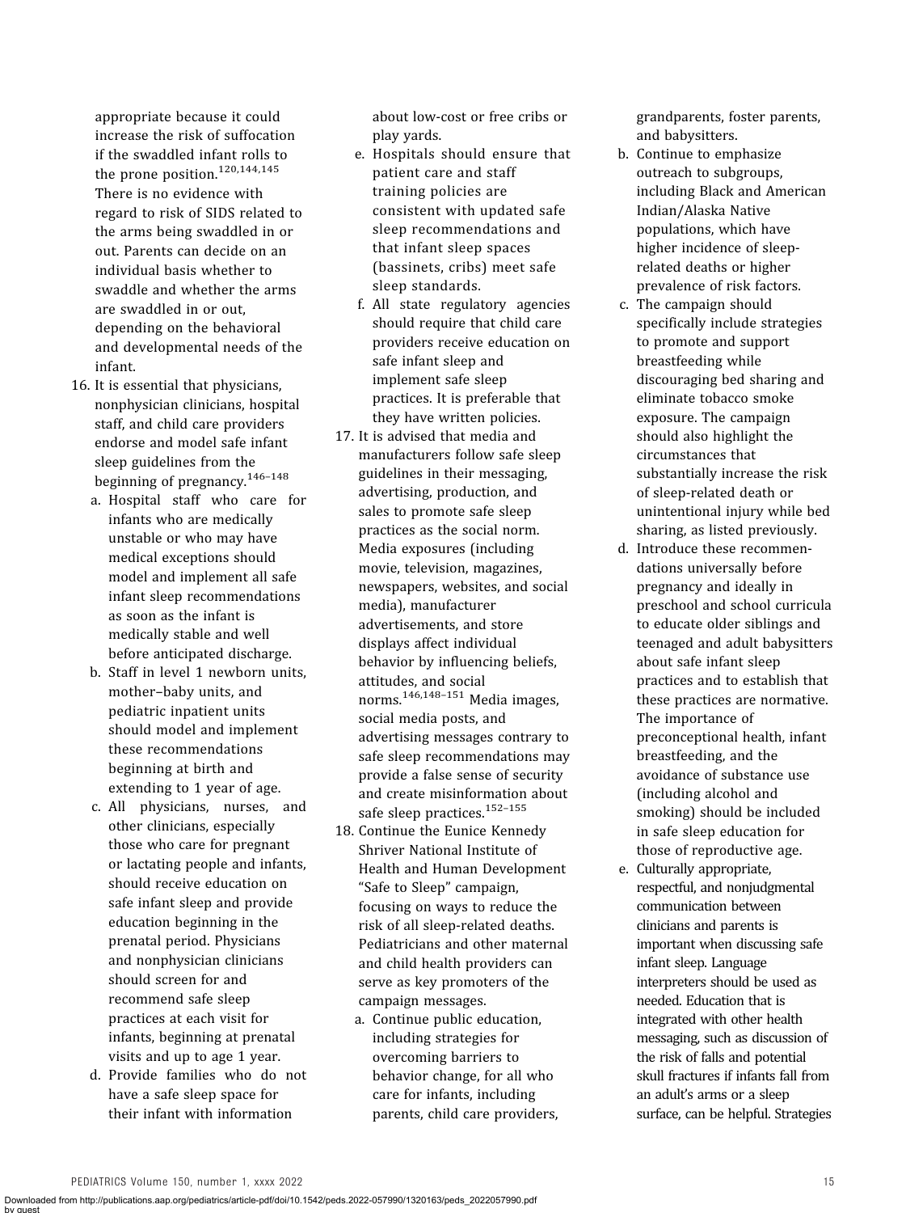appropriate because it could increase the risk of suffocation if the swaddled infant rolls to the prone position. $120,144,145$  $120,144,145$  $120,144,145$ There is no evidence with regard to risk of SIDS related to the arms being swaddled in or out. Parents can decide on an individual basis whether to swaddle and whether the arms are swaddled in or out, depending on the behavioral and developmental needs of the infant.

- 16. It is essential that physicians, nonphysician clinicians, hospital staff, and child care providers endorse and model safe infant sleep guidelines from the beginning of pregnancy.<sup>[146](#page-21-0)-[148](#page-21-0)</sup>
	- a. Hospital staff who care for infants who are medically unstable or who may have medical exceptions should model and implement all safe infant sleep recommendations as soon as the infant is medically stable and well before anticipated discharge.
	- b. Staff in level 1 newborn units, mother–baby units, and pediatric inpatient units should model and implement these recommendations beginning at birth and extending to 1 year of age.
	- c. All physicians, nurses, and other clinicians, especially those who care for pregnant or lactating people and infants, should receive education on safe infant sleep and provide education beginning in the prenatal period. Physicians and nonphysician clinicians should screen for and recommend safe sleep practices at each visit for infants, beginning at prenatal visits and up to age 1 year.
	- d. Provide families who do not have a safe sleep space for their infant with information

about low-cost or free cribs or play yards.

- e. Hospitals should ensure that patient care and staff training policies are consistent with updated safe sleep recommendations and that infant sleep spaces (bassinets, cribs) meet safe sleep standards.
- f. All state regulatory agencies should require that child care providers receive education on safe infant sleep and implement safe sleep practices. It is preferable that they have written policies.
- 17. It is advised that media and manufacturers follow safe sleep guidelines in their messaging, advertising, production, and sales to promote safe sleep practices as the social norm. Media exposures (including movie, television, magazines, newspapers, websites, and social media), manufacturer advertisements, and store displays affect individual behavior by influencing beliefs, attitudes, and social norms.[146,148](#page-21-0)–[151](#page-21-0) Media images, social media posts, and advertising messages contrary to safe sleep recommendations may provide a false sense of security and create misinformation about safe sleep practices.<sup>[152](#page-21-0)-[155](#page-21-0)</sup>
- 18. Continue the Eunice Kennedy Shriver National Institute of Health and Human Development "Safe to Sleep" campaign, focusing on ways to reduce the risk of all sleep-related deaths. Pediatricians and other maternal and child health providers can serve as key promoters of the campaign messages.
	- a. Continue public education, including strategies for overcoming barriers to behavior change, for all who care for infants, including parents, child care providers,

grandparents, foster parents, and babysitters.

- b. Continue to emphasize outreach to subgroups, including Black and American Indian/Alaska Native populations, which have higher incidence of sleeprelated deaths or higher prevalence of risk factors.
- c. The campaign should specifically include strategies to promote and support breastfeeding while discouraging bed sharing and eliminate tobacco smoke exposure. The campaign should also highlight the circumstances that substantially increase the risk of sleep-related death or unintentional injury while bed sharing, as listed previously.
- d. Introduce these recommendations universally before pregnancy and ideally in preschool and school curricula to educate older siblings and teenaged and adult babysitters about safe infant sleep practices and to establish that these practices are normative. The importance of preconceptional health, infant breastfeeding, and the avoidance of substance use (including alcohol and smoking) should be included in safe sleep education for those of reproductive age.
- e. Culturally appropriate, respectful, and nonjudgmental communication between clinicians and parents is important when discussing safe infant sleep. Language interpreters should be used as needed. Education that is integrated with other health messaging, such as discussion of the risk of falls and potential skull fractures if infants fall from an adult's arms or a sleep surface, can be helpful. Strategies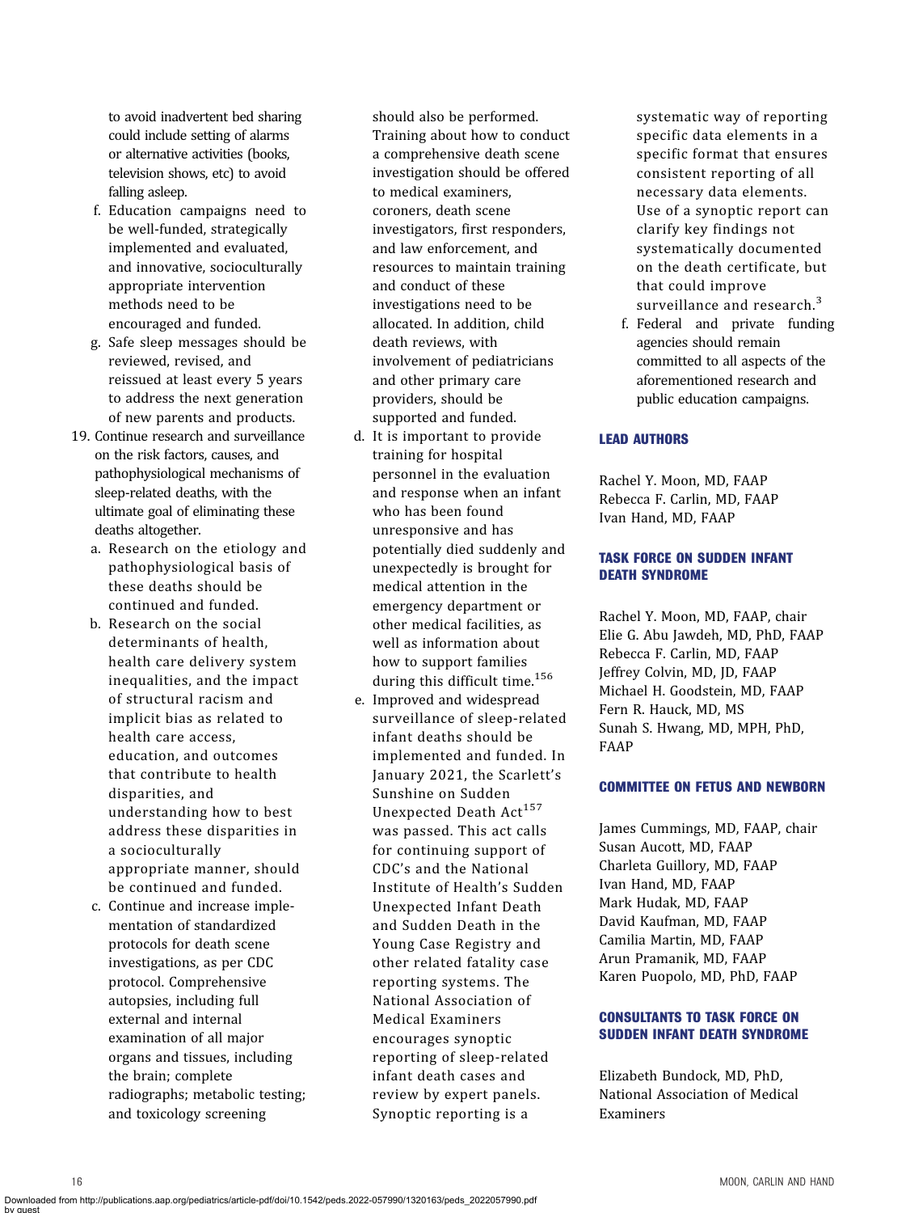to avoid inadvertent bed sharing could include setting of alarms or alternative activities (books, television shows, etc) to avoid falling asleep.

- f. Education campaigns need to be well-funded, strategically implemented and evaluated, and innovative, socioculturally appropriate intervention methods need to be encouraged and funded.
- g. Safe sleep messages should be reviewed, revised, and reissued at least every 5 years to address the next generation of new parents and products.
- 19. Continue research and surveillance on the risk factors, causes, and pathophysiological mechanisms of sleep-related deaths, with the ultimate goal of eliminating these deaths altogether.
	- a. Research on the etiology and pathophysiological basis of these deaths should be continued and funded.
	- b. Research on the social determinants of health, health care delivery system inequalities, and the impact of structural racism and implicit bias as related to health care access, education, and outcomes that contribute to health disparities, and understanding how to best address these disparities in a socioculturally appropriate manner, should be continued and funded.
	- c. Continue and increase implementation of standardized protocols for death scene investigations, as per CDC protocol. Comprehensive autopsies, including full external and internal examination of all major organs and tissues, including the brain; complete radiographs; metabolic testing; and toxicology screening

should also be performed. Training about how to conduct a comprehensive death scene investigation should be offered to medical examiners, coroners, death scene investigators, first responders, and law enforcement, and resources to maintain training and conduct of these investigations need to be allocated. In addition, child death reviews, with involvement of pediatricians and other primary care providers, should be supported and funded.

- d. It is important to provide training for hospital personnel in the evaluation and response when an infant who has been found unresponsive and has potentially died suddenly and unexpectedly is brought for medical attention in the emergency department or other medical facilities, as well as information about how to support families during this difficult time.<sup>[156](#page-21-0)</sup>
- e. Improved and widespread surveillance of sleep-related infant deaths should be implemented and funded. In January 2021, the Scarlett's Sunshine on Sudden Unexpected Death Act<sup>[157](#page-21-0)</sup> was passed. This act calls for continuing support of CDC's and the National Institute of Health's Sudden Unexpected Infant Death and Sudden Death in the Young Case Registry and other related fatality case reporting systems. The National Association of Medical Examiners encourages synoptic reporting of sleep-related infant death cases and review by expert panels. Synoptic reporting is a

systematic way of reporting specific data elements in a specific format that ensures consistent reporting of all necessary data elements. Use of a synoptic report can clarify key findings not systematically documented on the death certificate, but that could improve surveillance and research.<sup>[3](#page-16-0)</sup>

f. Federal and private funding agencies should remain committed to all aspects of the aforementioned research and public education campaigns.

# LEAD AUTHORS

Rachel Y. Moon, MD, FAAP Rebecca F. Carlin, MD, FAAP Ivan Hand, MD, FAAP

# TASK FORCE ON SUDDEN INFANT DEATH SYNDROME

Rachel Y. Moon, MD, FAAP, chair Elie G. Abu Jawdeh, MD, PhD, FAAP Rebecca F. Carlin, MD, FAAP Jeffrey Colvin, MD, JD, FAAP Michael H. Goodstein, MD, FAAP Fern R. Hauck, MD, MS Sunah S. Hwang, MD, MPH, PhD, FAAP

#### COMMITTEE ON FETUS AND NEWBORN

James Cummings, MD, FAAP, chair Susan Aucott, MD, FAAP Charleta Guillory, MD, FAAP Ivan Hand, MD, FAAP Mark Hudak, MD, FAAP David Kaufman, MD, FAAP Camilia Martin, MD, FAAP Arun Pramanik, MD, FAAP Karen Puopolo, MD, PhD, FAAP

### CONSULTANTS TO TASK FORCE ON SUDDEN INFANT DEATH SYNDROME

Elizabeth Bundock, MD, PhD, National Association of Medical Examiners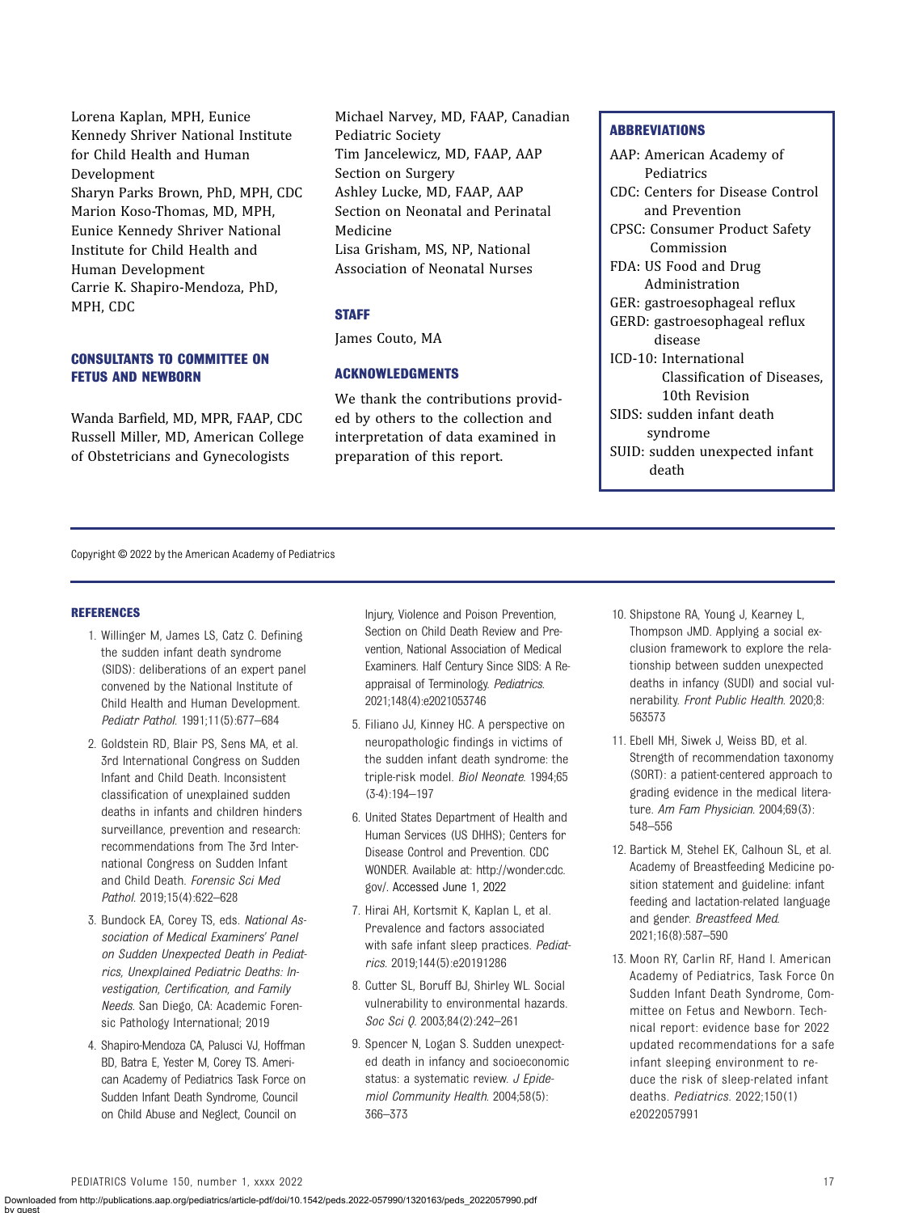<span id="page-16-0"></span>Lorena Kaplan, MPH, Eunice Kennedy Shriver National Institute for Child Health and Human Development Sharyn Parks Brown, PhD, MPH, CDC Marion Koso-Thomas, MD, MPH, Eunice Kennedy Shriver National Institute for Child Health and Human Development Carrie K. Shapiro-Mendoza, PhD, MPH, CDC

# CONSULTANTS TO COMMITTEE ON FETUS AND NEWBORN

Wanda Barfield, MD, MPR, FAAP, CDC Russell Miller, MD, American College of Obstetricians and Gynecologists

Michael Narvey, MD, FAAP, Canadian Pediatric Society Tim Jancelewicz, MD, FAAP, AAP Section on Surgery Ashley Lucke, MD, FAAP, AAP Section on Neonatal and Perinatal Medicine Lisa Grisham, MS, NP, National Association of Neonatal Nurses

### **STAFF**

James Couto, MA

# ACKNOWLEDGMENTS

We thank the contributions provided by others to the collection and interpretation of data examined in preparation of this report.

#### **ABBREVIATIONS**

AAP: American Academy of Pediatrics CDC: Centers for Disease Control and Prevention CPSC: Consumer Product Safety Commission FDA: US Food and Drug Administration GER: gastroesophageal reflux GERD: gastroesophageal reflux disease ICD-10: International Classification of Diseases, 10th Revision SIDS: sudden infant death syndrome SUID: sudden unexpected infant death

Copyright © 2022 by the American Academy of Pediatrics

#### **REFERENCES**

- 1. Willinger M, James LS, Catz C. Defining the sudden infant death syndrome (SIDS): deliberations of an expert panel convened by the National Institute of Child Health and Human Development. Pediatr Pathol. 1991;11(5):677–684
- 2. Goldstein RD, Blair PS, Sens MA, et al. 3rd International Congress on Sudden Infant and Child Death. Inconsistent classification of unexplained sudden deaths in infants and children hinders surveillance, prevention and research: recommendations from The 3rd International Congress on Sudden Infant and Child Death. Forensic Sci Med Pathol. 2019;15(4):622–628
- 3. Bundock EA, Corey TS, eds. National Association of Medical Examiners' Panel on Sudden Unexpected Death in Pediatrics, Unexplained Pediatric Deaths: Investigation, Certification, and Family Needs. San Diego, CA: Academic Forensic Pathology International; 2019
- 4. Shapiro-Mendoza CA, Palusci VJ, Hoffman BD, Batra E, Yester M, Corey TS. American Academy of Pediatrics Task Force on Sudden Infant Death Syndrome, Council on Child Abuse and Neglect, Council on

Injury, Violence and Poison Prevention, Section on Child Death Review and Prevention, National Association of Medical Examiners. Half Century Since SIDS: A Reappraisal of Terminology. Pediatrics. 2021;148(4):e2021053746

- 5. Filiano JJ, Kinney HC. A perspective on neuropathologic findings in victims of the sudden infant death syndrome: the triple-risk model. Biol Neonate. 1994;65 (3-4):194–197
- 6. United States Department of Health and Human Services (US DHHS); Centers for Disease Control and Prevention. CDC WONDER. Available at: [http://wonder.cdc.](http://wonder.cdc.gov/) [gov/](http://wonder.cdc.gov/). Accessed June 1, 2022
- 7. Hirai AH, Kortsmit K, Kaplan L, et al. Prevalence and factors associated with safe infant sleep practices. Pediatrics. 2019;144(5):e20191286
- 8. Cutter SL, Boruff BJ, Shirley WL. Social vulnerability to environmental hazards. Soc Sci Q. 2003;84(2):242-261
- 9. Spencer N, Logan S. Sudden unexpected death in infancy and socioeconomic status: a systematic review. J Epidemiol Community Health. 2004;58(5): 366–373
- 10. Shipstone RA, Young J, Kearney L, Thompson JMD. Applying a social exclusion framework to explore the relationship between sudden unexpected deaths in infancy (SUDI) and social vulnerability. Front Public Health. 2020;8: 563573
- 11. Ebell MH, Siwek J, Weiss BD, et al. Strength of recommendation taxonomy (SORT): a patient-centered approach to grading evidence in the medical literature. Am Fam Physician. 2004;69(3): 548–556
- 12. Bartick M, Stehel EK, Calhoun SL, et al. Academy of Breastfeeding Medicine position statement and guideline: infant feeding and lactation-related language and gender. Breastfeed Med. 2021;16(8):587–590
- 13. Moon RY, Carlin RF, Hand I. American Academy of Pediatrics, Task Force On Sudden Infant Death Syndrome, Committee on Fetus and Newborn. Technical report: evidence base for 2022 updated recommendations for a safe infant sleeping environment to reduce the risk of sleep-related infant deaths. Pediatrics. 2022;150(1) e2022057991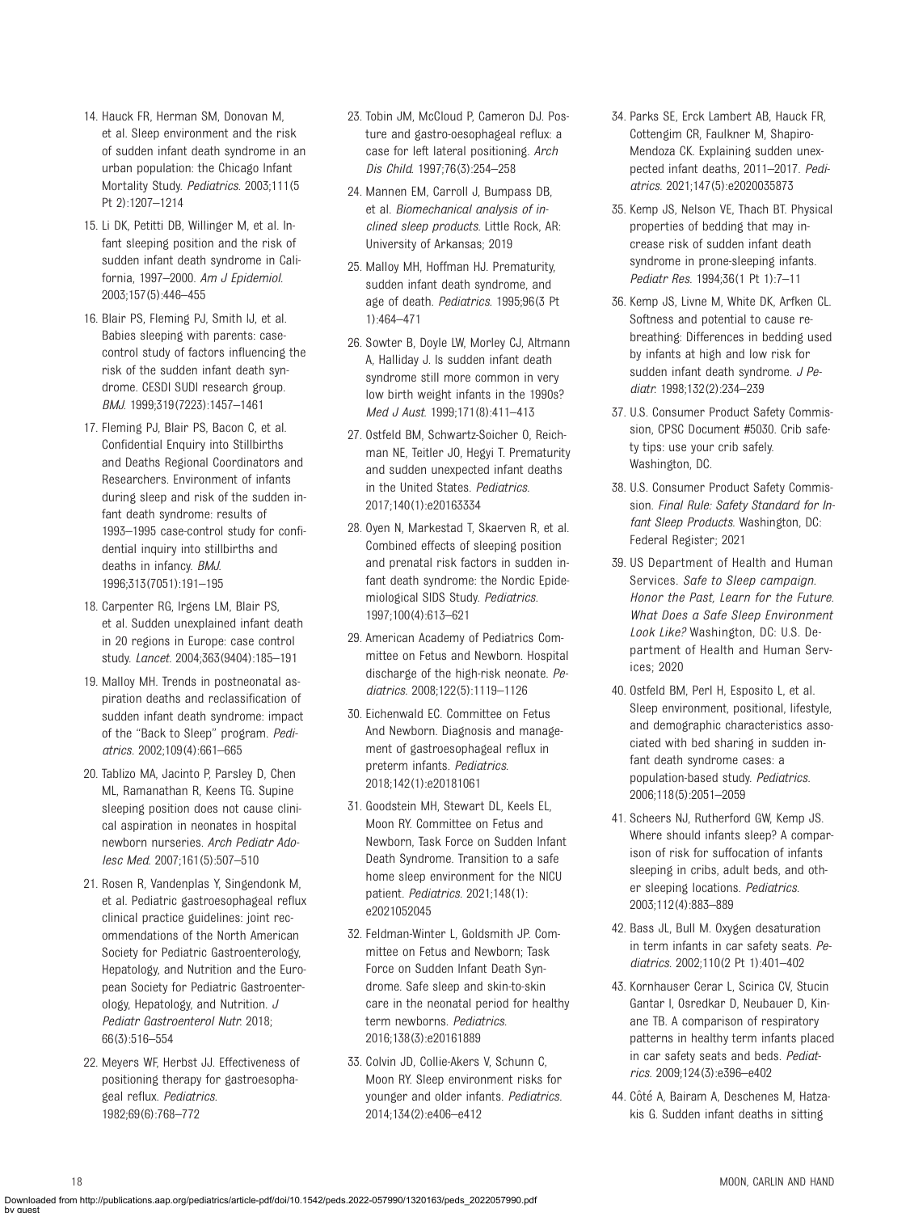- <span id="page-17-0"></span>14. Hauck FR, Herman SM, Donovan M, et al. Sleep environment and the risk of sudden infant death syndrome in an urban population: the Chicago Infant Mortality Study. Pediatrics. 2003;111(5 Pt 2):1207–1214
- 15. Li DK, Petitti DB, Willinger M, et al. Infant sleeping position and the risk of sudden infant death syndrome in California, 1997–2000. Am J Epidemiol. 2003;157(5):446–455
- 16. Blair PS, Fleming PJ, Smith IJ, et al. Babies sleeping with parents: casecontrol study of factors influencing the risk of the sudden infant death syndrome. CESDI SUDI research group. BMJ. 1999;319(7223):1457–1461
- 17. Fleming PJ, Blair PS, Bacon C, et al. Confidential Enquiry into Stillbirths and Deaths Regional Coordinators and Researchers. Environment of infants during sleep and risk of the sudden infant death syndrome: results of 1993–1995 case-control study for confidential inquiry into stillbirths and deaths in infancy. BMJ. 1996;313(7051):191–195
- 18. Carpenter RG, Irgens LM, Blair PS, et al. Sudden unexplained infant death in 20 regions in Europe: case control study. Lancet. 2004;363(9404):185–191
- 19. Malloy MH. Trends in postneonatal aspiration deaths and reclassification of sudden infant death syndrome: impact of the "Back to Sleep" program. Pediatrics. 2002;109(4):661–665
- 20. Tablizo MA, Jacinto P, Parsley D, Chen ML, Ramanathan R, Keens TG. Supine sleeping position does not cause clinical aspiration in neonates in hospital newborn nurseries. Arch Pediatr Adolesc Med. 2007;161(5):507–510
- 21. Rosen R, Vandenplas Y, Singendonk M, et al. Pediatric gastroesophageal reflux clinical practice guidelines: joint recommendations of the North American Society for Pediatric Gastroenterology, Hepatology, and Nutrition and the European Society for Pediatric Gastroenterology, Hepatology, and Nutrition. J Pediatr Gastroenterol Nutr. 2018; 66(3):516–554
- 22. Meyers WF, Herbst JJ. Effectiveness of positioning therapy for gastroesophageal reflux. Pediatrics. 1982;69(6):768–772
- 23. Tobin JM, McCloud P, Cameron DJ. Posture and gastro-oesophageal reflux: a case for left lateral positioning. Arch Dis Child. 1997;76(3):254–258
- 24. Mannen EM, Carroll J, Bumpass DB, et al. Biomechanical analysis of inclined sleep products. Little Rock, AR: University of Arkansas; 2019
- 25. Malloy MH, Hoffman HJ. Prematurity, sudden infant death syndrome, and age of death. Pediatrics. 1995;96(3 Pt 1):464–471
- 26. Sowter B, Doyle LW, Morley CJ, Altmann A, Halliday J. Is sudden infant death syndrome still more common in very low birth weight infants in the 1990s? Med J Aust. 1999;171(8):411–413
- 27. Ostfeld BM, Schwartz-Soicher O, Reichman NE, Teitler JO, Hegyi T. Prematurity and sudden unexpected infant deaths in the United States. Pediatrics. 2017;140(1):e20163334
- 28. Oyen N, Markestad T, Skaerven R, et al. Combined effects of sleeping position and prenatal risk factors in sudden infant death syndrome: the Nordic Epidemiological SIDS Study. Pediatrics. 1997;100(4):613–621
- 29. American Academy of Pediatrics Committee on Fetus and Newborn. Hospital discharge of the high-risk neonate. Pediatrics. 2008;122(5):1119–1126
- 30. Eichenwald EC. Committee on Fetus And Newborn. Diagnosis and management of gastroesophageal reflux in preterm infants. Pediatrics. 2018;142(1):e20181061
- 31. Goodstein MH, Stewart DL, Keels EL, Moon RY. Committee on Fetus and Newborn, Task Force on Sudden Infant Death Syndrome. Transition to a safe home sleep environment for the NICU patient. Pediatrics. 2021;148(1): e2021052045
- 32. Feldman-Winter L, Goldsmith JP. Committee on Fetus and Newborn; Task Force on Sudden Infant Death Syndrome. Safe sleep and skin-to-skin care in the neonatal period for healthy term newborns. Pediatrics. 2016;138(3):e20161889
- 33. Colvin JD, Collie-Akers V, Schunn C, Moon RY. Sleep environment risks for younger and older infants. Pediatrics. 2014;134(2):e406–e412
- 34. Parks SE, Erck Lambert AB, Hauck FR, Cottengim CR, Faulkner M, Shapiro-Mendoza CK. Explaining sudden unexpected infant deaths, 2011–2017. Pediatrics. 2021;147(5):e2020035873
- 35. Kemp JS, Nelson VE, Thach BT. Physical properties of bedding that may increase risk of sudden infant death syndrome in prone-sleeping infants. Pediatr Res. 1994;36(1 Pt 1):7–11
- 36. Kemp JS, Livne M, White DK, Arfken CL. Softness and potential to cause rebreathing: Differences in bedding used by infants at high and low risk for sudden infant death syndrome. J Pediatr. 1998;132(2):234–239
- 37. U.S. Consumer Product Safety Commission, CPSC Document #5030. Crib safety tips: use your crib safely. Washington, DC.
- 38. U.S. Consumer Product Safety Commission. Final Rule: Safety Standard for Infant Sleep Products. Washington, DC: Federal Register; 2021
- 39. US Department of Health and Human Services. Safe to Sleep campaign. Honor the Past, Learn for the Future. What Does a Safe Sleep Environment Look Like? Washington, DC: U.S. Department of Health and Human Services; 2020
- 40. Ostfeld BM, Perl H, Esposito L, et al. Sleep environment, positional, lifestyle, and demographic characteristics associated with bed sharing in sudden infant death syndrome cases: a population-based study. Pediatrics. 2006;118(5):2051–2059
- 41. Scheers NJ, Rutherford GW, Kemp JS. Where should infants sleep? A comparison of risk for suffocation of infants sleeping in cribs, adult beds, and other sleeping locations. Pediatrics. 2003;112(4):883–889
- 42. Bass JL, Bull M. Oxygen desaturation in term infants in car safety seats. Pediatrics. 2002;110(2 Pt 1):401–402
- 43. Kornhauser Cerar L, Scirica CV, Stucin Gantar I, Osredkar D, Neubauer D, Kinane TB. A comparison of respiratory patterns in healthy term infants placed in car safety seats and beds. Pediatrics. 2009;124(3):e396–e402
- 44. Côté A, Bairam A, Deschenes M, Hatzakis G. Sudden infant deaths in sitting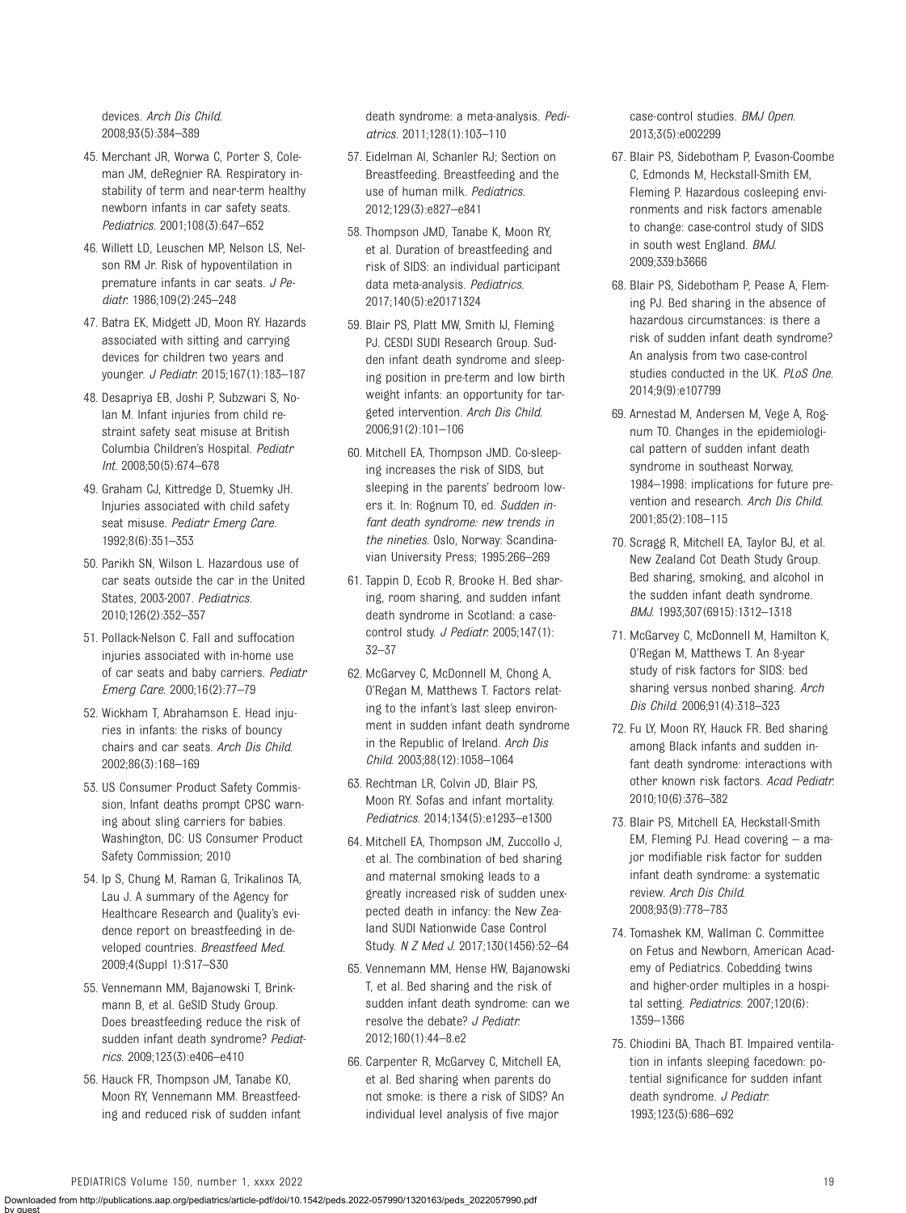<span id="page-18-0"></span>devices. Arch Dis Child. 2008;93(5):384–389

- 45. Merchant JR, Worwa C, Porter S, Coleman JM, deRegnier RA. Respiratory instability of term and near-term healthy newborn infants in car safety seats. Pediatrics. 2001;108(3):647–652
- 46. Willett LD, Leuschen MP, Nelson LS, Nelson RM Jr. Risk of hypoventilation in premature infants in car seats. J Pediatr. 1986;109(2):245–248
- 47. Batra EK, Midgett JD, Moon RY. Hazards associated with sitting and carrying devices for children two years and younger. J Pediatr. 2015;167(1):183–187
- 48. Desapriya EB, Joshi P, Subzwari S, Nolan M. Infant injuries from child restraint safety seat misuse at British Columbia Children's Hospital. Pediatr Int. 2008;50(5):674–678
- 49. Graham CJ, Kittredge D, Stuemky JH. Injuries associated with child safety seat misuse. Pediatr Emerg Care. 1992;8(6):351–353
- 50. Parikh SN, Wilson L. Hazardous use of car seats outside the car in the United States, 2003-2007. Pediatrics. 2010;126(2):352–357
- 51. Pollack-Nelson C. Fall and suffocation injuries associated with in-home use of car seats and baby carriers. Pediatr Emerg Care. 2000;16(2):77–79
- 52. Wickham T, Abrahamson E. Head injuries in infants: the risks of bouncy chairs and car seats. Arch Dis Child. 2002;86(3):168–169
- 53. US Consumer Product Safety Commission, Infant deaths prompt CPSC warning about sling carriers for babies. Washington, DC: US Consumer Product Safety Commission; 2010
- 54. Ip S, Chung M, Raman G, Trikalinos TA, Lau J. A summary of the Agency for Healthcare Research and Quality's evidence report on breastfeeding in developed countries. Breastfeed Med. 2009;4(Suppl 1):S17–S30
- 55. Vennemann MM, Bajanowski T, Brinkmann B, et al. GeSID Study Group. Does breastfeeding reduce the risk of sudden infant death syndrome? Pediatrics. 2009;123(3):e406–e410
- 56. Hauck FR, Thompson JM, Tanabe KO, Moon RY, Vennemann MM. Breastfeeding and reduced risk of sudden infant

death syndrome: a meta-analysis. Pediatrics. 2011;128(1):103–110

- 57. Eidelman AI, Schanler RJ; Section on Breastfeeding. Breastfeeding and the use of human milk. Pediatrics. 2012;129(3):e827–e841
- 58. Thompson JMD, Tanabe K, Moon RY, et al. Duration of breastfeeding and risk of SIDS: an individual participant data meta-analysis. Pediatrics. 2017;140(5):e20171324
- 59. Blair PS, Platt MW, Smith IJ, Fleming PJ. CESDI SUDI Research Group. Sudden infant death syndrome and sleeping position in pre-term and low birth weight infants: an opportunity for targeted intervention. Arch Dis Child. 2006;91(2):101–106
- 60. Mitchell EA, Thompson JMD. Co-sleeping increases the risk of SIDS, but sleeping in the parents' bedroom lowers it. In: Rognum TO, ed. Sudden infant death syndrome: new trends in the nineties. Oslo, Norway: Scandinavian University Press; 1995:266–269
- 61. Tappin D, Ecob R, Brooke H. Bed sharing, room sharing, and sudden infant death syndrome in Scotland: a casecontrol study. J Pediatr. 2005;147(1): 32–37
- 62. McGarvey C, McDonnell M, Chong A, O'Regan M, Matthews T. Factors relating to the infant's last sleep environment in sudden infant death syndrome in the Republic of Ireland. Arch Dis Child. 2003;88(12):1058–1064
- 63. Rechtman LR, Colvin JD, Blair PS, Moon RY. Sofas and infant mortality. Pediatrics. 2014;134(5):e1293–e1300
- 64. Mitchell EA, Thompson JM, Zuccollo J, et al. The combination of bed sharing and maternal smoking leads to a greatly increased risk of sudden unexpected death in infancy: the New Zealand SUDI Nationwide Case Control Study. N Z Med J. 2017;130(1456):52–64
- 65. Vennemann MM, Hense HW, Bajanowski T, et al. Bed sharing and the risk of sudden infant death syndrome: can we resolve the debate? J Pediatr. 2012;160(1):44–8.e2
- 66. Carpenter R, McGarvey C, Mitchell EA, et al. Bed sharing when parents do not smoke: is there a risk of SIDS? An individual level analysis of five major

case-control studies. BMJ Open. 2013;3(5):e002299

- 67. Blair PS, Sidebotham P, Evason-Coombe C, Edmonds M, Heckstall-Smith EM, Fleming P. Hazardous cosleeping environments and risk factors amenable to change: case-control study of SIDS in south west England. BMJ. 2009;339:b3666
- 68. Blair PS, Sidebotham P, Pease A, Fleming PJ. Bed sharing in the absence of hazardous circumstances: is there a risk of sudden infant death syndrome? An analysis from two case-control studies conducted in the UK. PLoS One. 2014;9(9):e107799
- 69. Arnestad M, Andersen M, Vege A, Rognum TO. Changes in the epidemiological pattern of sudden infant death syndrome in southeast Norway, 1984–1998: implications for future prevention and research. Arch Dis Child. 2001;85(2):108–115
- 70. Scragg R, Mitchell EA, Taylor BJ, et al. New Zealand Cot Death Study Group. Bed sharing, smoking, and alcohol in the sudden infant death syndrome. BMJ. 1993;307(6915):1312–1318
- 71. McGarvey C, McDonnell M, Hamilton K, O'Regan M, Matthews T. An 8-year study of risk factors for SIDS: bed sharing versus nonbed sharing. Arch Dis Child. 2006;91(4):318–323
- 72. Fu LY, Moon RY, Hauck FR. Bed sharing among Black infants and sudden infant death syndrome: interactions with other known risk factors. Acad Pediatr. 2010;10(6):376–382
- 73. Blair PS, Mitchell EA, Heckstall-Smith EM, Fleming PJ. Head covering – a major modifiable risk factor for sudden infant death syndrome: a systematic review. Arch Dis Child. 2008;93(9):778–783
- 74. Tomashek KM, Wallman C. Committee on Fetus and Newborn, American Academy of Pediatrics. Cobedding twins and higher-order multiples in a hospital setting. Pediatrics. 2007;120(6): 1359–1366
- 75. Chiodini BA, Thach BT. Impaired ventilation in infants sleeping facedown: potential significance for sudden infant death syndrome. J Pediatr. 1993;123(5):686–692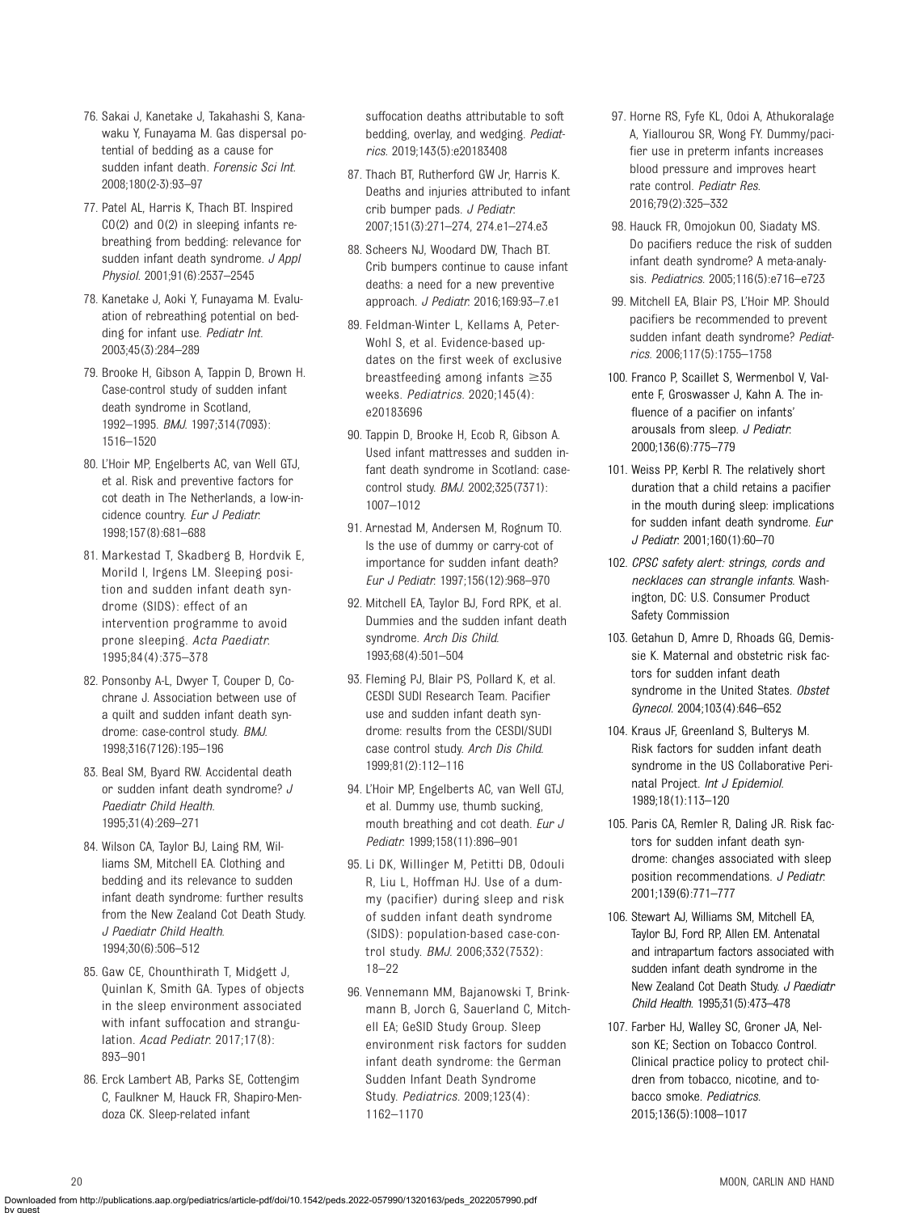- <span id="page-19-0"></span>76. Sakai J, Kanetake J, Takahashi S, Kanawaku Y, Funayama M. Gas dispersal potential of bedding as a cause for sudden infant death. Forensic Sci Int. 2008;180(2-3):93–97
- 77. Patel AL, Harris K, Thach BT. Inspired CO(2) and O(2) in sleeping infants rebreathing from bedding: relevance for sudden infant death syndrome. J Appl Physiol. 2001;91(6):2537–2545
- 78. Kanetake J, Aoki Y, Funayama M. Evaluation of rebreathing potential on bedding for infant use. Pediatr Int. 2003;45(3):284–289
- 79. Brooke H, Gibson A, Tappin D, Brown H. Case-control study of sudden infant death syndrome in Scotland, 1992–1995. BMJ. 1997;314(7093): 1516–1520
- 80. L'Hoir MP, Engelberts AC, van Well GTJ, et al. Risk and preventive factors for cot death in The Netherlands, a low-incidence country. Eur J Pediatr. 1998;157(8):681–688
- 81. Markestad T, Skadberg B, Hordvik E, Morild I, Irgens LM. Sleeping position and sudden infant death syndrome (SIDS): effect of an intervention programme to avoid prone sleeping. Acta Paediatr. 1995;84(4):375–378
- 82. Ponsonby A-L, Dwyer T, Couper D, Cochrane J. Association between use of a quilt and sudden infant death syndrome: case-control study. BMJ. 1998;316(7126):195–196
- 83. Beal SM, Byard RW. Accidental death or sudden infant death syndrome? J Paediatr Child Health. 1995;31(4):269–271
- 84. Wilson CA, Taylor BJ, Laing RM, Williams SM, Mitchell EA. Clothing and bedding and its relevance to sudden infant death syndrome: further results from the New Zealand Cot Death Study. J Paediatr Child Health. 1994;30(6):506–512
- 85. Gaw CE, Chounthirath T, Midgett J, Quinlan K, Smith GA. Types of objects in the sleep environment associated with infant suffocation and strangulation. Acad Pediatr. 2017;17(8): 893–901
- 86. Erck Lambert AB, Parks SE, Cottengim C, Faulkner M, Hauck FR, Shapiro-Mendoza CK. Sleep-related infant

suffocation deaths attributable to soft bedding, overlay, and wedging. Pediatrics. 2019;143(5):e20183408

- 87. Thach BT, Rutherford GW Jr, Harris K. Deaths and injuries attributed to infant crib bumper pads. J Pediatr. 2007;151(3):271–274, 274.e1–274.e3
- 88. Scheers NJ, Woodard DW, Thach BT. Crib bumpers continue to cause infant deaths: a need for a new preventive approach. J Pediatr. 2016;169:93–7.e1
- 89. Feldman-Winter L, Kellams A, Peter-Wohl S, et al. Evidence-based updates on the first week of exclusive breastfeeding among infants  $\geq 35$ weeks. Pediatrics. 2020;145(4): e20183696
- 90. Tappin D, Brooke H, Ecob R, Gibson A. Used infant mattresses and sudden infant death syndrome in Scotland: casecontrol study. BMJ. 2002;325(7371): 1007–1012
- 91. Arnestad M, Andersen M, Rognum TO. Is the use of dummy or carry-cot of importance for sudden infant death? Eur J Pediatr. 1997;156(12):968–970
- 92. Mitchell EA, Taylor BJ, Ford RPK, et al. Dummies and the sudden infant death syndrome. Arch Dis Child. 1993;68(4):501–504
- 93. Fleming PJ, Blair PS, Pollard K, et al. CESDI SUDI Research Team. Pacifier use and sudden infant death syndrome: results from the CESDI/SUDI case control study. Arch Dis Child. 1999;81(2):112–116
- 94. L'Hoir MP, Engelberts AC, van Well GTJ, et al. Dummy use, thumb sucking, mouth breathing and cot death. Eur J Pediatr. 1999;158(11):896–901
- 95. Li DK, Willinger M, Petitti DB, Odouli R, Liu L, Hoffman HJ. Use of a dummy (pacifier) during sleep and risk of sudden infant death syndrome (SIDS): population-based case-control study. BMJ. 2006;332(7532): 18–22
- 96. Vennemann MM, Bajanowski T, Brinkmann B, Jorch G, Sauerland C, Mitchell EA; GeSID Study Group. Sleep environment risk factors for sudden infant death syndrome: the German Sudden Infant Death Syndrome Study. Pediatrics. 2009;123(4): 1162–1170
- 97. Horne RS, Fyfe KL, Odoi A, Athukoralage A, Yiallourou SR, Wong FY. Dummy/pacifier use in preterm infants increases blood pressure and improves heart rate control. Pediatr Res. 2016;79(2):325–332
- 98. Hauck FR, Omojokun OO, Siadaty MS. Do pacifiers reduce the risk of sudden infant death syndrome? A meta-analysis. Pediatrics. 2005;116(5):e716–e723
- 99. Mitchell EA, Blair PS, L'Hoir MP. Should pacifiers be recommended to prevent sudden infant death syndrome? Pediatrics. 2006;117(5):1755–1758
- 100. Franco P, Scaillet S, Wermenbol V, Valente F, Groswasser J, Kahn A. The influence of a pacifier on infants' arousals from sleep. J Pediatr. 2000;136(6):775–779
- 101. Weiss PP, Kerbl R. The relatively short duration that a child retains a pacifier in the mouth during sleep: implications for sudden infant death syndrome. Eur J Pediatr. 2001;160(1):60–70
- 102. CPSC safety alert: strings, cords and necklaces can strangle infants. Washington, DC: U.S. Consumer Product Safety Commission
- 103. Getahun D, Amre D, Rhoads GG, Demissie K. Maternal and obstetric risk factors for sudden infant death syndrome in the United States. Obstet Gynecol. 2004;103(4):646–652
- 104. Kraus JF, Greenland S, Bulterys M. Risk factors for sudden infant death syndrome in the US Collaborative Perinatal Project. Int J Epidemiol. 1989;18(1):113–120
- 105. Paris CA, Remler R, Daling JR. Risk factors for sudden infant death syndrome: changes associated with sleep position recommendations. J Pediatr. 2001;139(6):771–777
- 106. Stewart AJ, Williams SM, Mitchell EA, Taylor BJ, Ford RP, Allen EM. Antenatal and intrapartum factors associated with sudden infant death syndrome in the New Zealand Cot Death Study. J Paediatr Child Health. 1995;31(5):473–478
- 107. Farber HJ, Walley SC, Groner JA, Nelson KE; Section on Tobacco Control. Clinical practice policy to protect children from tobacco, nicotine, and tobacco smoke. Pediatrics. 2015;136(5):1008–1017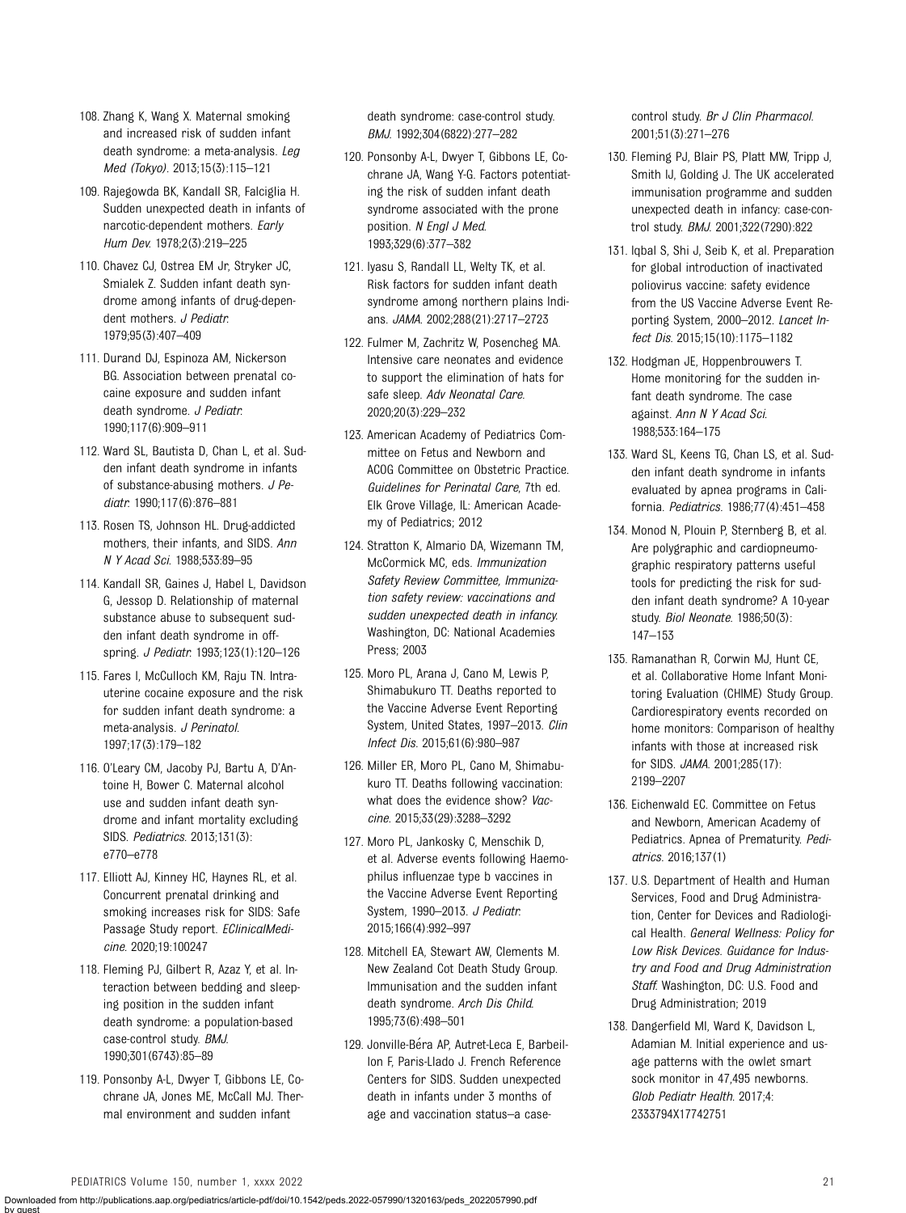- <span id="page-20-0"></span>108. Zhang K, Wang X. Maternal smoking and increased risk of sudden infant death syndrome: a meta-analysis. Leg Med (Tokyo). 2013;15(3):115–121
- 109. Rajegowda BK, Kandall SR, Falciglia H. Sudden unexpected death in infants of narcotic-dependent mothers. Early Hum Dev. 1978;2(3):219–225
- 110. Chavez CJ, Ostrea EM Jr, Stryker JC, Smialek Z. Sudden infant death syndrome among infants of drug-dependent mothers. J Pediatr. 1979;95(3):407–409
- 111. Durand DJ, Espinoza AM, Nickerson BG. Association between prenatal cocaine exposure and sudden infant death syndrome. J Pediatr. 1990;117(6):909–911
- 112. Ward SL, Bautista D, Chan L, et al. Sudden infant death syndrome in infants of substance-abusing mothers. J Pediatr. 1990;117(6):876–881
- 113. Rosen TS, Johnson HL. Drug-addicted mothers, their infants, and SIDS. Ann N Y Acad Sci. 1988;533:89–95
- 114. Kandall SR, Gaines J, Habel L, Davidson G, Jessop D. Relationship of maternal substance abuse to subsequent sudden infant death syndrome in offspring. J Pediatr. 1993;123(1):120–126
- 115. Fares I, McCulloch KM, Raju TN. Intrauterine cocaine exposure and the risk for sudden infant death syndrome: a meta-analysis. J Perinatol. 1997;17(3):179–182
- 116. O'Leary CM, Jacoby PJ, Bartu A, D'Antoine H, Bower C. Maternal alcohol use and sudden infant death syndrome and infant mortality excluding SIDS. Pediatrics. 2013;131(3): e770–e778
- 117. Elliott AJ, Kinney HC, Haynes RL, et al. Concurrent prenatal drinking and smoking increases risk for SIDS: Safe Passage Study report. EClinicalMedicine. 2020;19:100247
- 118. Fleming PJ, Gilbert R, Azaz Y, et al. Interaction between bedding and sleeping position in the sudden infant death syndrome: a population-based case-control study. BMJ. 1990;301(6743):85–89
- 119. Ponsonby A-L, Dwyer T, Gibbons LE, Cochrane JA, Jones ME, McCall MJ. Thermal environment and sudden infant

death syndrome: case-control study. BMJ. 1992;304(6822):277–282

- 120. Ponsonby A-L, Dwyer T, Gibbons LE, Cochrane JA, Wang Y-G. Factors potentiating the risk of sudden infant death syndrome associated with the prone position. N Engl J Med. 1993;329(6):377–382
- 121. Iyasu S, Randall LL, Welty TK, et al. Risk factors for sudden infant death syndrome among northern plains Indians. JAMA. 2002;288(21):2717–2723
- 122. Fulmer M, Zachritz W, Posencheg MA. Intensive care neonates and evidence to support the elimination of hats for safe sleep. Adv Neonatal Care. 2020;20(3):229–232
- 123. American Academy of Pediatrics Committee on Fetus and Newborn and ACOG Committee on Obstetric Practice. Guidelines for Perinatal Care, 7th ed. Elk Grove Village, IL: American Academy of Pediatrics; 2012
- 124. Stratton K, Almario DA, Wizemann TM, McCormick MC, eds. Immunization Safety Review Committee, Immunization safety review: vaccinations and sudden unexpected death in infancy. Washington, DC: National Academies Press; 2003
- 125. Moro PL, Arana J, Cano M, Lewis P, Shimabukuro TT. Deaths reported to the Vaccine Adverse Event Reporting System, United States, 1997–2013. Clin Infect Dis. 2015;61(6):980–987
- 126. Miller ER, Moro PL, Cano M, Shimabukuro TT. Deaths following vaccination: what does the evidence show? Vaccine. 2015;33(29):3288–3292
- 127. Moro PL, Jankosky C, Menschik D, et al. Adverse events following Haemophilus influenzae type b vaccines in the Vaccine Adverse Event Reporting System, 1990-2013. J Pediatr. 2015;166(4):992–997
- 128. Mitchell EA, Stewart AW, Clements M. New Zealand Cot Death Study Group. Immunisation and the sudden infant death syndrome. Arch Dis Child. 1995;73(6):498–501
- 129. Jonville-Béra AP, Autret-Leca E, Barbeillon F, Paris-Llado J. French Reference Centers for SIDS. Sudden unexpected death in infants under 3 months of age and vaccination status–a case-

control study. Br J Clin Pharmacol. 2001;51(3):271–276

- 130. Fleming PJ, Blair PS, Platt MW, Tripp J, Smith IJ, Golding J. The UK accelerated immunisation programme and sudden unexpected death in infancy: case-control study. BMJ. 2001;322(7290):822
- 131. Iqbal S, Shi J, Seib K, et al. Preparation for global introduction of inactivated poliovirus vaccine: safety evidence from the US Vaccine Adverse Event Reporting System, 2000–2012. Lancet Infect Dis. 2015;15(10):1175–1182
- 132. Hodgman JE, Hoppenbrouwers T. Home monitoring for the sudden infant death syndrome. The case against. Ann N Y Acad Sci. 1988;533:164–175
- 133. Ward SL, Keens TG, Chan LS, et al. Sudden infant death syndrome in infants evaluated by apnea programs in California. Pediatrics. 1986;77(4):451–458
- 134. Monod N, Plouin P, Sternberg B, et al. Are polygraphic and cardiopneumographic respiratory patterns useful tools for predicting the risk for sudden infant death syndrome? A 10-year study. Biol Neonate. 1986;50(3): 147–153
- 135. Ramanathan R, Corwin MJ, Hunt CE, et al. Collaborative Home Infant Monitoring Evaluation (CHIME) Study Group. Cardiorespiratory events recorded on home monitors: Comparison of healthy infants with those at increased risk for SIDS. JAMA. 2001;285(17): 2199–2207
- 136. Eichenwald EC. Committee on Fetus and Newborn, American Academy of Pediatrics. Apnea of Prematurity. Pediatrics. 2016;137(1)
- 137. U.S. Department of Health and Human Services, Food and Drug Administration, Center for Devices and Radiological Health. General Wellness: Policy for Low Risk Devices. Guidance for Industry and Food and Drug Administration Staff. Washington, DC: U.S. Food and Drug Administration; 2019
- 138. Dangerfield MI, Ward K, Davidson L, Adamian M. Initial experience and usage patterns with the owlet smart sock monitor in 47,495 newborns. Glob Pediatr Health. 2017;4: 2333794X17742751